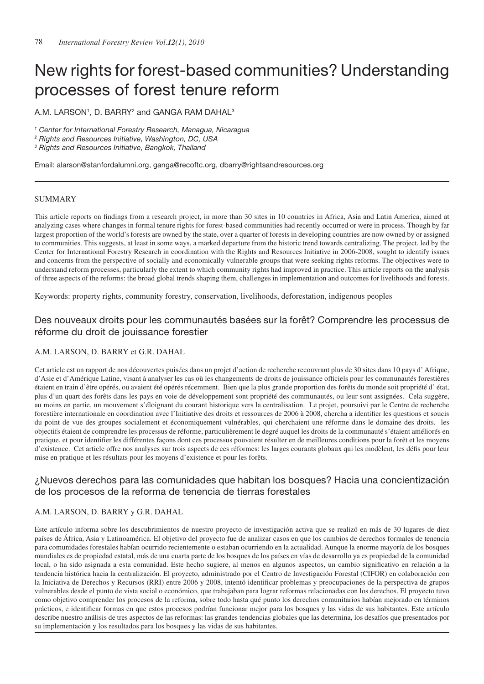# New rights for forest-based communities? Understanding processes of forest tenure reform

A.M. LARSON<sup>1</sup>, D. BARRY<sup>2</sup> and GANGA RAM DAHAL<sup>3</sup>

*1 Center for International Forestry Research, Managua, Nicaragua*

*2 Rights and Resources Initiative, Washington, DC, USA*

*3 Rights and Resources Initiative, Bangkok, Thailand*

Email: alarson@stanfordalumni.org, ganga@recoftc.org, dbarry@rightsandresources.org

# **SUMMARY**

This article reports on findings from a research project, in more than 30 sites in 10 countries in Africa, Asia and Latin America, aimed at analyzing cases where changes in formal tenure rights for forest-based communities had recently occurred or were in process. Though by far largest proportion of the world's forests are owned by the state, over a quarter of forests in developing countries are now owned by or assigned to communities. This suggests, at least in some ways, a marked departure from the historic trend towards centralizing. The project, led by the Center for International Forestry Research in coordination with the Rights and Resources Initiative in 2006-2008, sought to identify issues and concerns from the perspective of socially and economically vulnerable groups that were seeking rights reforms. The objectives were to understand reform processes, particularly the extent to which community rights had improved in practice. This article reports on the analysis of three aspects of the reforms: the broad global trends shaping them, challenges in implementation and outcomes for livelihoods and forests.

Keywords: property rights, community forestry, conservation, livelihoods, deforestation, indigenous peoples

# Des nouveaux droits pour les communautés basées sur la forêt? Comprendre les processus de réforme du droit de jouissance forestier

# A.M. LARSON, D. BARRY et G.R. DAHAL

Cet article est un rapport de nos découvertes puisées dans un projet d'action de recherche recouvrant plus de 30 sites dans 10 pays d' Afrique, d'Asie et d'Amérique Latine, visant à analyser les cas où les changements de droits de jouissance officiels pour les communautés forestières étaient en train d'être opérés, ou avaient été opérés récemment. Bien que la plus grande proportion des forêts du monde soit propriété d' état, plus d'un quart des forêts dans les pays en voie de développement sont propriété des communautés, ou leur sont assignées. Cela suggère, au moins en partie, un mouvement s'éloignant du courant historique vers la centralisation. Le projet, poursuivi par le Centre de recherche forestière internationale en coordination avec l'Initiative des droits et ressources de 2006 à 2008, chercha a identifier les questions et soucis du point de vue des groupes socialement et économiquement vulnérables, qui cherchaient une réforme dans le domaine des droits. les objectifs étaient de comprendre les processus de réforme, particulièrement le degré auquel les droits de la communauté s'étaient améliorés en pratique, et pour identifier les différentes façons dont ces processus pouvaient résulter en de meilleures conditions pour la forêt et les moyens d'existence. Cet article offre nos analyses sur trois aspects de ces réformes: les larges courants globaux qui les modèlent, les défis pour leur mise en pratique et les résultats pour les moyens d'existence et pour les forêts.

# ¿Nuevos derechos para las comunidades que habitan los bosques? Hacia una concientización de los procesos de la reforma de tenencia de tierras forestales

# A.M. LARSON, D. BARRY y G.R. DAHAL

Este artículo informa sobre los descubrimientos de nuestro proyecto de investigación activa que se realizó en más de 30 lugares de diez países de África, Asia y Latinoamérica. El objetivo del proyecto fue de analizar casos en que los cambios de derechos formales de tenencia para comunidades forestales habían ocurrido recientemente o estaban ocurriendo en la actualidad. Aunque la enorme mayoría de los bosques mundiales es de propiedad estatal, más de una cuarta parte de los bosques de los países en vías de desarrollo ya es propiedad de la comunidad local, o ha sido asignada a esta comunidad. Este hecho sugiere, al menos en algunos aspectos, un cambio significativo en relación a la tendencia histórica hacia la centralización. El proyecto, administrado por el Centro de Investigación Forestal (CIFOR) en colaboración con la Iniciativa de Derechos y Recursos (RRI) entre 2006 y 2008, intentó identificar problemas y preocupaciones de la perspectiva de grupos vulnerables desde el punto de vista social o económico, que trabajaban para lograr reformas relacionadas con los derechos. El proyecto tuvo como objetivo comprender los procesos de la reforma, sobre todo hasta qué punto los derechos comunitarios habían mejorado en términos prácticos, e identificar formas en que estos procesos podrían funcionar mejor para los bosques y las vidas de sus habitantes. Este artículo describe nuestro análisis de tres aspectos de las reformas: las grandes tendencias globales que las determina, los desafíos que presentados por su implementación y los resultados para los bosques y las vidas de sus habitantes.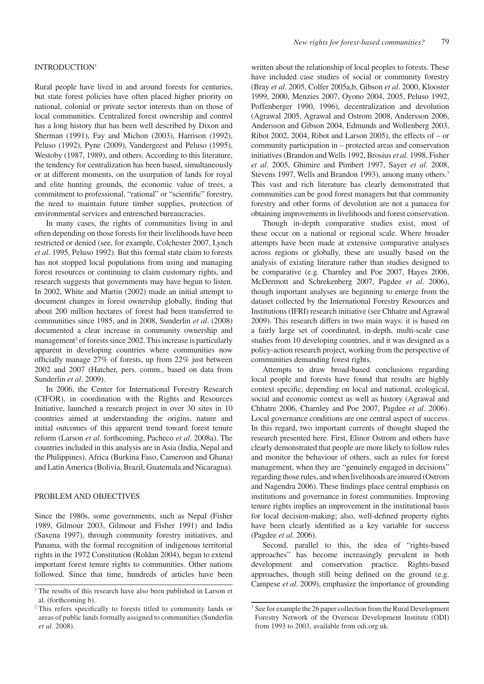# INTRODUCTION1

Rural people have lived in and around forests for centuries, but state forest policies have often placed higher priority on national, colonial or private sector interests than on those of local communities. Centralized forest ownership and control has a long history that has been well described by Dixon and Sherman (1991), Fay and Michon (2003), Harrison (1992), Peluso (1992), Pyne (2009), Vandergeest and Peluso (1995), Westoby (1987, 1989), and others. According to this literature, the tendency for centralization has been based, simultaneously or at different moments, on the usurpation of lands for royal and elite hunting grounds, the economic value of trees, a commitment to professional, "rational" or "scientific" forestry, the need to maintain future timber supplies, protection of environmental services and entrenched bureaucracies.

In many cases, the rights of communities living in and often depending on those forests for their livelihoods have been restricted or denied (see, for example, Colchester 2007, Lynch *et al*. 1995, Peluso 1992). But this formal state claim to forests has not stopped local populations from using and managing forest resources or continuing to claim customary rights, and research suggests that governments may have begun to listen. In 2002, White and Martin (2002) made an initial attempt to document changes in forest ownership globally, finding that about 200 million hectares of forest had been transferred to communities since 1985, and in 2008, Sunderlin *et al*. (2008) documented a clear increase in community ownership and management<sup>2</sup> of forests since 2002. This increase is particularly apparent in developing countries where communities now officially manage 27% of forests, up from 22% just between 2002 and 2007 (Hatcher, pers. comm., based on data from Sunderlin *et al*. 2009).

In 2006, the Center for International Forestry Research (CIFOR), in coordination with the Rights and Resources Initiative, launched a research project in over 30 sites in 10 countries aimed at understanding the origins, nature and initial outcomes of this apparent trend toward forest tenure reform (Larson *et al*. forthcoming, Pacheco *et al*. 2008a). The countries included in this analysis are in Asia (India, Nepal and the Philippines), Africa (Burkina Faso, Cameroon and Ghana) and Latin America (Bolivia, Brazil, Guatemala and Nicaragua).

#### PROBLEM AND OBJECTIVES

Since the 1980s, some governments, such as Nepal (Fisher 1989, Gilmour 2003, Gilmour and Fisher 1991) and India (Saxena 1997), through community forestry initiatives, and Panama, with the formal recognition of indigenous territorial rights in the 1972 Constitution (Roldan 2004), began to extend important forest tenure rights to communities. Other nations followed. Since that time, hundreds of articles have been

written about the relationship of local peoples to forests. These have included case studies of social or community forestry (Bray *et al*. 2005, Colfer 2005a,b, Gibson *et al*. 2000, Klooster 1999, 2000, Menzies 2007, Oyono 2004, 2005, Peluso 1992, Poffenberger 1990, 1996), decentralization and devolution (Agrawal 2005, Agrawal and Ostrom 2008, Andersson 2006, Andersson and Gibson 2004, Edmunds and Wollenberg 2003, Ribot 2002, 2004, Ribot and Larson 2005), the effects of – or community participation in – protected areas and conservation initiatives (Brandon and Wells 1992, Brosius *et al.* 1998, Fisher *et al*. 2005, Ghimire and Pimbert 1997, Sayer *et al*. 2008, Stevens 1997, Wells and Brandon 1993), among many others.<sup>3</sup> This vast and rich literature has clearly demonstrated that communities can be good forest managers but that community forestry and other forms of devolution are not a panacea for obtaining improvements in livelihoods and forest conservation.

Though in-depth comparative studies exist, most of these occur on a national or regional scale. Where broader attempts have been made at extensive comparative analyses across regions or globally, these are usually based on the analysis of existing literature rather than studies designed to be comparative (e.g. Charnley and Poe 2007, Hayes 2006, McDermott and Schrekenberg 2007, Pagdee *et al*. 2006), though important analyses are beginning to emerge from the dataset collected by the International Forestry Resources and Institutions (IFRI) research initiative (see Chhatre and Agrawal 2009). This research differs in two main ways: it is based on a fairly large set of coordinated, in-depth, multi-scale case studies from 10 developing countries, and it was designed as a policy-action research project, working from the perspective of communities demanding forest rights.

Attempts to draw broad-based conclusions regarding local people and forests have found that results are highly context specific, depending on local and national, ecological, social and economic context as well as history (Agrawal and Chhatre 2006, Charnley and Poe 2007, Pagdee *et al*. 2006). Local governance conditions are one central aspect of success. In this regard, two important currents of thought shaped the research presented here. First, Elinor Ostrom and others have clearly demonstrated that people are more likely to follow rules and monitor the behaviour of others, such as rules for forest management, when they are "genuinely engaged in decisions" regarding those rules, and when livelihoods are insured (Ostrom and Nagendra 2006). These findings place central emphasis on institutions and governance in forest communities. Improving tenure rights implies an improvement in the institutional basis for local decision-making; also, well-defined property rights have been clearly identified as a key variable for success (Pagdee *et al*. 2006).

Second, parallel to this, the idea of "rights-based approaches" has become increasingly prevalent in both development and conservation practice. Rights-based approaches, though still being defined on the ground (e.g. Campese *et al*. 2009), emphasize the importance of grounding

<sup>&</sup>lt;sup>1</sup> The results of this research have also been published in Larson et al. (forthcoming b).

<sup>2</sup> This refers specifically to forests titled to community lands or areas of public lands formally assigned to communities (Sunderlin *et al.* 2008).

<sup>&</sup>lt;sup>3</sup> See for example the 26 paper collection from the Rural Development Forestry Network of the Overseas Development Institute (ODI) from 1993 to 2003, available from odi.org.uk*.*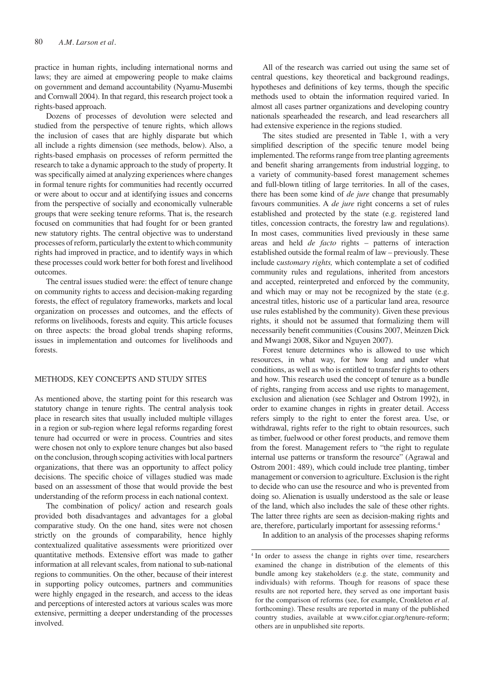practice in human rights, including international norms and laws; they are aimed at empowering people to make claims on government and demand accountability (Nyamu-Musembi and Cornwall 2004). In that regard, this research project took a rights-based approach.

Dozens of processes of devolution were selected and studied from the perspective of tenure rights, which allows the inclusion of cases that are highly disparate but which all include a rights dimension (see methods, below). Also, a rights-based emphasis on processes of reform permitted the research to take a dynamic approach to the study of property. It was specifically aimed at analyzing experiences where changes in formal tenure rights for communities had recently occurred or were about to occur and at identifying issues and concerns from the perspective of socially and economically vulnerable groups that were seeking tenure reforms. That is, the research focused on communities that had fought for or been granted new statutory rights. The central objective was to understand processes of reform, particularly the extent to which community rights had improved in practice, and to identify ways in which these processes could work better for both forest and livelihood outcomes.

The central issues studied were: the effect of tenure change on community rights to access and decision-making regarding forests, the effect of regulatory frameworks, markets and local organization on processes and outcomes, and the effects of reforms on livelihoods, forests and equity. This article focuses on three aspects: the broad global trends shaping reforms, issues in implementation and outcomes for livelihoods and forests.

# METHODS, KEY CONCEPTS AND STUDY SITES

As mentioned above, the starting point for this research was statutory change in tenure rights. The central analysis took place in research sites that usually included multiple villages in a region or sub-region where legal reforms regarding forest tenure had occurred or were in process. Countries and sites were chosen not only to explore tenure changes but also based on the conclusion, through scoping activities with local partners organizations, that there was an opportunity to affect policy decisions. The specific choice of villages studied was made based on an assessment of those that would provide the best understanding of the reform process in each national context.

The combination of policy/ action and research goals provided both disadvantages and advantages for a global comparative study. On the one hand, sites were not chosen strictly on the grounds of comparability, hence highly contextualized qualitative assessments were prioritized over quantitative methods. Extensive effort was made to gather information at all relevant scales, from national to sub-national regions to communities. On the other, because of their interest in supporting policy outcomes, partners and communities were highly engaged in the research, and access to the ideas and perceptions of interested actors at various scales was more extensive, permitting a deeper understanding of the processes involved.

All of the research was carried out using the same set of central questions, key theoretical and background readings, hypotheses and definitions of key terms, though the specific methods used to obtain the information required varied. In almost all cases partner organizations and developing country nationals spearheaded the research, and lead researchers all had extensive experience in the regions studied.

The sites studied are presented in Table 1, with a very simplified description of the specific tenure model being implemented. The reforms range from tree planting agreements and benefit sharing arrangements from industrial logging, to a variety of community-based forest management schemes and full-blown titling of large territories. In all of the cases, there has been some kind of *de jure* change that presumably favours communities. A *de jure* right concerns a set of rules established and protected by the state (e.g. registered land titles, concession contracts, the forestry law and regulations). In most cases, communities lived previously in these same areas and held *de facto* rights – patterns of interaction established outside the formal realm of law – previously. These include c*ustomary rights,* which contemplate a set of codified community rules and regulations, inherited from ancestors and accepted, reinterpreted and enforced by the community, and which may or may not be recognized by the state (e.g. ancestral titles, historic use of a particular land area, resource use rules established by the community). Given these previous rights, it should not be assumed that formalizing them will necessarily benefit communities (Cousins 2007, Meinzen Dick and Mwangi 2008, Sikor and Nguyen 2007).

Forest tenure determines who is allowed to use which resources, in what way, for how long and under what conditions, as well as who is entitled to transfer rights to others and how. This research used the concept of tenure as a bundle of rights, ranging from access and use rights to management, exclusion and alienation (see Schlager and Ostrom 1992), in order to examine changes in rights in greater detail. Access refers simply to the right to enter the forest area. Use, or withdrawal, rights refer to the right to obtain resources, such as timber, fuelwood or other forest products, and remove them from the forest. Management refers to "the right to regulate internal use patterns or transform the resource" (Agrawal and Ostrom 2001: 489), which could include tree planting, timber management or conversion to agriculture. Exclusion is the right to decide who can use the resource and who is prevented from doing so. Alienation is usually understood as the sale or lease of the land, which also includes the sale of these other rights. The latter three rights are seen as decision-making rights and are, therefore, particularly important for assessing reforms.4

In addition to an analysis of the processes shaping reforms

<sup>&</sup>lt;sup>4</sup> In order to assess the change in rights over time, researchers examined the change in distribution of the elements of this bundle among key stakeholders (e.g. the state, community and individuals) with reforms. Though for reasons of space these results are not reported here, they served as one important basis for the comparison of reforms (see, for example, Cronkleton *et al*. forthcoming). These results are reported in many of the published country studies, available at www.cifor.cgiar.org/tenure-reform; others are in unpublished site reports.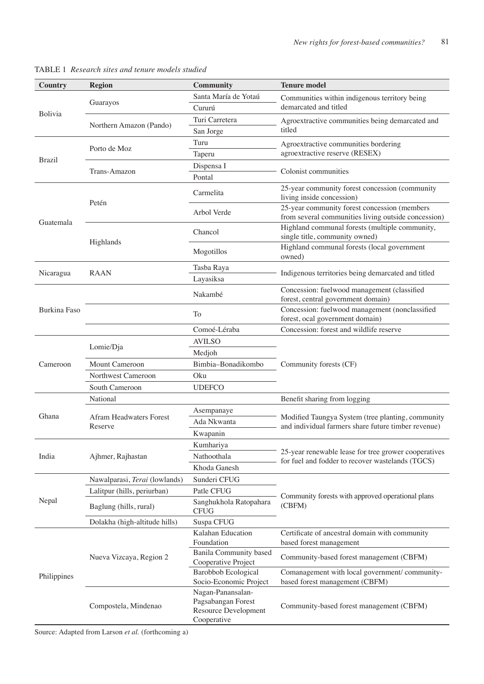| Country             | <b>Region</b>                             | Community                                            | <b>Tenure model</b>                                                                                 |  |
|---------------------|-------------------------------------------|------------------------------------------------------|-----------------------------------------------------------------------------------------------------|--|
| Bolivia             | Guarayos                                  | Santa María de Yotaú                                 | Communities within indigenous territory being                                                       |  |
|                     |                                           | Cururú                                               | demarcated and titled                                                                               |  |
|                     | Northern Amazon (Pando)                   | Turi Carretera                                       | Agroextractive communities being demarcated and                                                     |  |
|                     |                                           | San Jorge                                            | titled                                                                                              |  |
| <b>Brazil</b>       | Porto de Moz                              | Turu                                                 | Agroextractive communities bordering                                                                |  |
|                     |                                           | Taperu                                               | agroextractive reserve (RESEX)                                                                      |  |
|                     | Trans-Amazon                              | Dispensa I                                           | Colonist communities                                                                                |  |
|                     |                                           | Pontal                                               |                                                                                                     |  |
|                     | Petén                                     | Carmelita                                            | 25-year community forest concession (community<br>living inside concession)                         |  |
| Guatemala           |                                           | Arbol Verde                                          | 25-year community forest concession (members<br>from several communities living outside concession) |  |
|                     |                                           | Chancol                                              | Highland communal forests (multiple community,<br>single title, community owned)                    |  |
|                     | Highlands                                 | Mogotillos                                           | Highland communal forests (local government<br>owned)                                               |  |
| Nicaragua           | <b>RAAN</b>                               | Tasba Raya                                           | Indigenous territories being demarcated and titled                                                  |  |
|                     |                                           | Layasiksa                                            |                                                                                                     |  |
| <b>Burkina Faso</b> |                                           | Nakambé                                              | Concession: fuelwood management (classified<br>forest, central government domain)                   |  |
|                     |                                           | T <sub>o</sub>                                       | Concession: fuelwood management (nonclassified<br>forest, ocal government domain)                   |  |
|                     |                                           | Comoé-Léraba                                         | Concession: forest and wildlife reserve                                                             |  |
|                     | Lomie/Dja                                 | <b>AVILSO</b>                                        |                                                                                                     |  |
|                     |                                           | Medjoh                                               |                                                                                                     |  |
| Cameroon            | Mount Cameroon                            | Bimbia-Bonadikombo                                   | Community forests (CF)                                                                              |  |
|                     | Northwest Cameroon                        | Oku                                                  |                                                                                                     |  |
|                     | South Cameroon                            | <b>UDEFCO</b>                                        |                                                                                                     |  |
|                     | National                                  |                                                      | Benefit sharing from logging                                                                        |  |
| Ghana               | <b>Afram Headwaters Forest</b><br>Reserve | Asempanaye                                           | Modified Taungya System (tree planting, community                                                   |  |
|                     |                                           | Ada Nkwanta                                          | and individual farmers share future timber revenue)                                                 |  |
|                     |                                           | Kwapanin                                             |                                                                                                     |  |
|                     | Ajhmer, Rajhastan                         | Kumhariya                                            | 25-year renewable lease for tree grower cooperatives                                                |  |
| India               |                                           | Nathoothala                                          | for fuel and fodder to recover wastelands (TGCS)                                                    |  |
|                     |                                           | Khoda Ganesh                                         |                                                                                                     |  |
|                     | Nawalparasi, Terai (lowlands)             | Sunderi CFUG                                         |                                                                                                     |  |
|                     | Lalitpur (hills, periurban)               | Patle CFUG                                           | Community forests with approved operational plans                                                   |  |
| Nepal               | Baglung (hills, rural)                    | Sanghukhola Ratopahara<br><b>CFUG</b>                | (CBFM)                                                                                              |  |
|                     | Dolakha (high-altitude hills)             | Suspa CFUG                                           |                                                                                                     |  |
| Philippines         | Nueva Vizcaya, Region 2                   | Kalahan Education                                    | Certificate of ancestral domain with community                                                      |  |
|                     |                                           | Foundation                                           | based forest management                                                                             |  |
|                     |                                           | <b>Banila Community based</b><br>Cooperative Project | Community-based forest management (CBFM)                                                            |  |
|                     |                                           | <b>Barobbob Ecological</b><br>Socio-Economic Project | Comanagement with local government/community-<br>based forest management (CBFM)                     |  |
|                     | Compostela, Mindenao                      | Nagan-Panansalan-                                    |                                                                                                     |  |
|                     |                                           | Pagsabangan Forest<br>Resource Development           | Community-based forest management (CBFM)                                                            |  |
|                     |                                           | Cooperative                                          |                                                                                                     |  |

Table 1 *Research sites and tenure models studied*

Source: Adapted from Larson et al. (forthcoming a)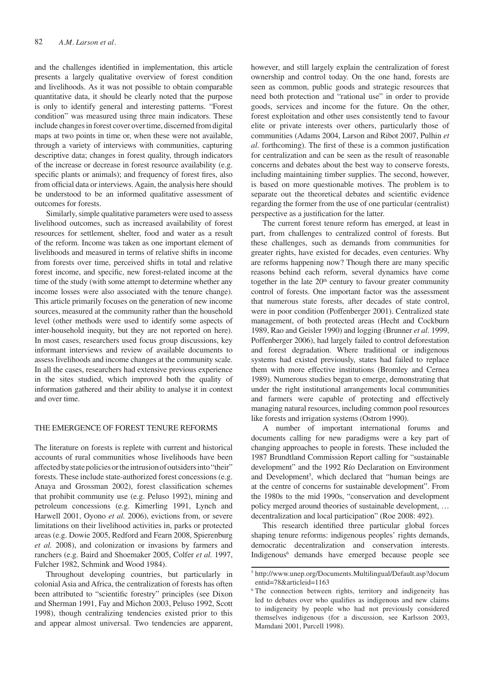and the challenges identified in implementation, this article presents a largely qualitative overview of forest condition and livelihoods. As it was not possible to obtain comparable quantitative data, it should be clearly noted that the purpose is only to identify general and interesting patterns. "Forest condition" was measured using three main indicators. These include changes in forest cover over time, discerned from digital maps at two points in time or, when these were not available, through a variety of interviews with communities, capturing descriptive data; changes in forest quality, through indicators of the increase or decrease in forest resource availability (e.g. specific plants or animals); and frequency of forest fires, also from official data or interviews. Again, the analysis here should be understood to be an informed qualitative assessment of outcomes for forests.

Similarly, simple qualitative parameters were used to assess livelihood outcomes, such as increased availability of forest resources for settlement*,* shelter, food and water as a result of the reform. Income was taken as one important element of livelihoods and measured in terms of relative shifts in income from forests over time, perceived shifts in total and relative forest income, and specific, new forest-related income at the time of the study (with some attempt to determine whether any income losses were also associated with the tenure change). This article primarily focuses on the generation of new income sources, measured at the community rather than the household level (other methods were used to identify some aspects of inter-household inequity, but they are not reported on here). In most cases, researchers used focus group discussions, key informant interviews and review of available documents to assess livelihoods and income changes at the community scale. In all the cases, researchers had extensive previous experience in the sites studied, which improved both the quality of information gathered and their ability to analyse it in context and over time.

#### THE EMERGENCE OF FOREST TENURE REFORMS

The literature on forests is replete with current and historical accounts of rural communities whose livelihoods have been affected by state policies or the intrusion of outsiders into "their" forests. These include state-authorized forest concessions (e.g. Anaya and Grossman 2002), forest classification schemes that prohibit community use (e.g. Peluso 1992), mining and petroleum concessions (e.g. Kimerling 1991, Lynch and Harwell 2001, Oyono *et al.* 2006), evictions from, or severe limitations on their livelihood activities in, parks or protected areas (e.g. Dowie 2005, Redford and Fearn 2008, Spierenburg *et al.* 2008), and colonization or invasions by farmers and ranchers (e.g. Baird and Shoemaker 2005, Colfer *et al.* 1997, Fulcher 1982, Schmink and Wood 1984).

Throughout developing countries, but particularly in colonial Asia and Africa, the centralization of forests has often been attributed to "scientific forestry" principles (see Dixon and Sherman 1991, Fay and Michon 2003, Peluso 1992, Scott 1998), though centralizing tendencies existed prior to this and appear almost universal. Two tendencies are apparent,

however, and still largely explain the centralization of forest ownership and control today. On the one hand, forests are seen as common, public goods and strategic resources that need both protection and "rational use" in order to provide goods, services and income for the future. On the other, forest exploitation and other uses consistently tend to favour elite or private interests over others, particularly those of communities (Adams 2004, Larson and Ribot 2007, Pulhin *et al*. forthcoming). The first of these is a common justification for centralization and can be seen as the result of reasonable concerns and debates about the best way to conserve forests, including maintaining timber supplies. The second, however, is based on more questionable motives. The problem is to separate out the theoretical debates and scientific evidence regarding the former from the use of one particular (centralist) perspective as a justification for the latter.

The current forest tenure reform has emerged, at least in part, from challenges to centralized control of forests. But these challenges, such as demands from communities for greater rights, have existed for decades, even centuries. Why are reforms happening now? Though there are many specific reasons behind each reform, several dynamics have come together in the late  $20<sup>th</sup>$  century to favour greater community control of forests. One important factor was the assessment that numerous state forests, after decades of state control, were in poor condition (Poffenberger 2001). Centralized state management, of both protected areas (Hecht and Cockburn 1989, Rao and Geisler 1990) and logging (Brunner *et al*. 1999, Poffenberger 2006), had largely failed to control deforestation and forest degradation. Where traditional or indigenous systems had existed previously, states had failed to replace them with more effective institutions (Bromley and Cernea 1989). Numerous studies began to emerge, demonstrating that under the right institutional arrangements local communities and farmers were capable of protecting and effectively managing natural resources, including common pool resources like forests and irrigation systems (Ostrom 1990).

A number of important international forums and documents calling for new paradigms were a key part of changing approaches to people in forests. These included the 1987 Brundtland Commission Report calling for "sustainable development" and the 1992 Río Declaration on Environment and Development<sup>5</sup>, which declared that "human beings are at the centre of concerns for sustainable development". From the 1980s to the mid 1990s, "conservation and development policy merged around theories of sustainable development, … decentralization and local participation" (Roe 2008: 492).

This research identified three particular global forces shaping tenure reforms: indigenous peoples' rights demands, democratic decentralization and conservation interests. Indigenous<sup>6</sup> demands have emerged because people see

<sup>5</sup> http://www.unep.org/Documents.Multilingual/Default.asp?docum entid=78&articleid=1163

<sup>6</sup> The connection between rights, territory and indigeneity has led to debates over who qualifies as indigenous and new claims to indigeneity by people who had not previously considered themselves indigenous (for a discussion, see Karlsson 2003, Mamdani 2001, Purcell 1998).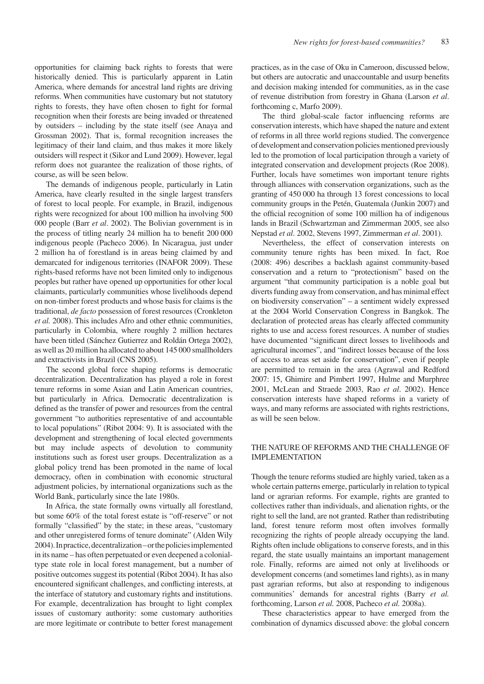opportunities for claiming back rights to forests that were historically denied. This is particularly apparent in Latin America, where demands for ancestral land rights are driving reforms. When communities have customary but not statutory rights to forests, they have often chosen to fight for formal recognition when their forests are being invaded or threatened by outsiders – including by the state itself (see Anaya and Grossman 2002). That is, formal recognition increases the legitimacy of their land claim, and thus makes it more likely outsiders will respect it (Sikor and Lund 2009). However, legal reform does not guarantee the realization of those rights, of course, as will be seen below.

The demands of indigenous people, particularly in Latin America, have clearly resulted in the single largest transfers of forest to local people. For example, in Brazil, indigenous rights were recognized for about 100 million ha involving 500 000 people (Barr *et al*. 2002). The Bolivian government is in the process of titling nearly 24 million ha to benefit 200 000 indigenous people (Pacheco 2006). In Nicaragua, just under 2 million ha of forestland is in areas being claimed by and demarcated for indigenous territories (INAFOR 2009). These rights-based reforms have not been limited only to indigenous peoples but rather have opened up opportunities for other local claimants, particularly communities whose livelihoods depend on non-timber forest products and whose basis for claims is the traditional, *de facto* possession of forest resources (Cronkleton *et al.* 2008). This includes Afro and other ethnic communities, particularly in Colombia, where roughly 2 million hectares have been titled (Sánchez Gutierrez and Roldán Ortega 2002), as well as 20 million ha allocated to about 145 000 smallholders and extractivists in Brazil (CNS 2005).

The second global force shaping reforms is democratic decentralization. Decentralization has played a role in forest tenure reforms in some Asian and Latin American countries, but particularly in Africa. Democratic decentralization is defined as the transfer of power and resources from the central government "to authorities representative of and accountable to local populations" (Ribot 2004: 9). It is associated with the development and strengthening of local elected governments but may include aspects of devolution to community institutions such as forest user groups. Decentralization as a global policy trend has been promoted in the name of local democracy, often in combination with economic structural adjustment policies, by international organizations such as the World Bank, particularly since the late 1980s.

In Africa, the state formally owns virtually all forestland, but some 60% of the total forest estate is "off-reserve" or not formally "classified" by the state; in these areas, "customary and other unregistered forms of tenure dominate" (Alden Wily 2004). In practice, decentralization – or the policies implemented in its name – has often perpetuated or even deepened a colonialtype state role in local forest management, but a number of positive outcomes suggest its potential (Ribot 2004). It has also encountered significant challenges, and conflicting interests, at the interface of statutory and customary rights and institutions. For example, decentralization has brought to light complex issues of customary authority: some customary authorities are more legitimate or contribute to better forest management practices, as in the case of Oku in Cameroon, discussed below, but others are autocratic and unaccountable and usurp benefits and decision making intended for communities, as in the case of revenue distribution from forestry in Ghana (Larson *et al*. forthcoming c, Marfo 2009).

The third global-scale factor influencing reforms are conservation interests, which have shaped the nature and extent of reforms in all three world regions studied. The convergence of development and conservation policies mentioned previously led to the promotion of local participation through a variety of integrated conservation and development projects (Roe 2008). Further, locals have sometimes won important tenure rights through alliances with conservation organizations, such as the granting of 450 000 ha through 13 forest concessions to local community groups in the Petén, Guatemala (Junkin 2007) and the official recognition of some 100 million ha of indigenous lands in Brazil (Schwartzman and Zimmerman 2005, see also Nepstad *et al*. 2002, Stevens 1997, Zimmerman *et al*. 2001).

Nevertheless, the effect of conservation interests on community tenure rights has been mixed. In fact, Roe (2008: 496) describes a backlash against community-based conservation and a return to "protectionism" based on the argument "that community participation is a noble goal but diverts funding away from conservation, and has minimal effect on biodiversity conservation" – a sentiment widely expressed at the 2004 World Conservation Congress in Bangkok. The declaration of protected areas has clearly affected community rights to use and access forest resources. A number of studies have documented "significant direct losses to livelihoods and agricultural incomes", and "indirect losses because of the loss of access to areas set aside for conservation", even if people are permitted to remain in the area (Agrawal and Redford 2007: 15, Ghimire and Pimbert 1997, Hulme and Murphree 2001, McLean and Straede 2003, Rao *et al*. 2002). Hence conservation interests have shaped reforms in a variety of ways, and many reforms are associated with rights restrictions, as will be seen below.

# THE NATURE OF REFORMS AND THE CHALLENGE OF IMPLEMENTATION

Though the tenure reforms studied are highly varied, taken as a whole certain patterns emerge, particularly in relation to typical land or agrarian reforms. For example, rights are granted to collectives rather than individuals, and alienation rights, or the right to sell the land, are not granted. Rather than redistributing land, forest tenure reform most often involves formally recognizing the rights of people already occupying the land. Rights often include obligations to conserve forests, and in this regard, the state usually maintains an important management role. Finally, reforms are aimed not only at livelihoods or development concerns (and sometimes land rights), as in many past agrarian reforms, but also at responding to indigenous communities' demands for ancestral rights (Barry *et al.* forthcoming, Larson *et al.* 2008, Pacheco *et al.* 2008a).

These characteristics appear to have emerged from the combination of dynamics discussed above: the global concern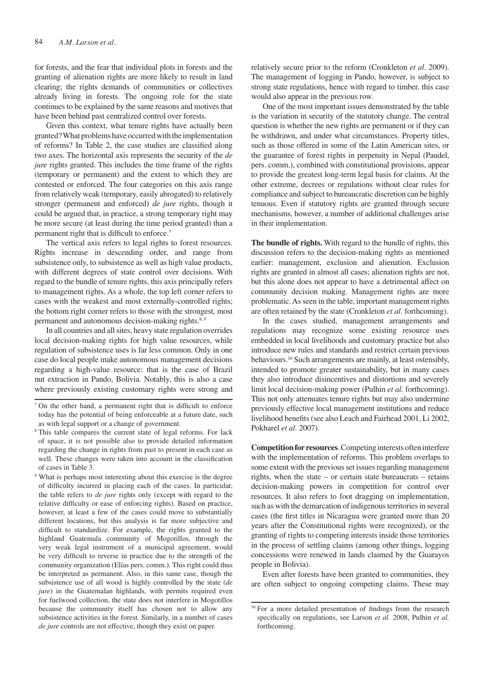for forests, and the fear that individual plots in forests and the granting of alienation rights are more likely to result in land clearing; the rights demands of communities or collectives already living in forests. The ongoing role for the state continues to be explained by the same reasons and motives that have been behind past centralized control over forests.

Given this context, what tenure rights have actually been granted? What problems have occurred with the implementation of reforms? In Table 2, the case studies are classified along two axes. The horizontal axis represents the security of the *de jure* rights granted. This includes the time frame of the rights (temporary or permanent) and the extent to which they are contested or enforced. The four categories on this axis range from relatively weak (temporary, easily abrogated) to relatively stronger (permanent and enforced) *de jure* rights, though it could be argued that, in practice, a strong temporary right may be more secure (at least during the time period granted) than a permanent right that is difficult to enforce.7

The vertical axis refers to legal rights to forest resources. Rights increase in descending order, and range from subsistence only, to subsistence as well as high value products, with different degrees of state control over decisions. With regard to the bundle of tenure rights, this axis principally refers to management rights. As a whole, the top left corner refers to cases with the weakest and most externally-controlled rights; the bottom right corner refers to those with the strongest, most permanent and autonomous decision-making rights.<sup>8, 9</sup>

In all countries and all sites, heavy state regulation overrides local decision-making rights for high value resources, while regulation of subsistence uses is far less common. Only in one case do local people make autonomous management decisions regarding a high-value resource: that is the case of Brazil nut extraction in Pando, Bolivia. Notably, this is also a case where previously existing customary rights were strong and

- <sup>7</sup> On the other hand, a permanent right that is difficult to enforce today has the potential of being enforceable at a future date, such as with legal support or a change of government.
- <sup>8</sup> This table compares the current state of legal reforms. For lack of space, it is not possible also to provide detailed information regarding the change in rights from past to present in each case as well. These changes were taken into account in the classification of cases in Table 3.
- <sup>9</sup> What is perhaps most interesting about this exercise is the degree of difficulty incurred in placing each of the cases. In particular, the table refers to *de jure* rights only (except with regard to the relative difficulty or ease of enforcing rights). Based on practice, however, at least a few of the cases could move to substantially different locations, but this analysis is far more subjective and difficult to standardize. For example, the rights granted to the highland Guatemala community of Mogotillos, through the very weak legal instrument of a municipal agreement, would be very difficult to reverse in practice due to the strength of the community organization (Elías pers. comm.). This right could thus be interpreted as permanent. Also, in this same case, though the subsistence use of all wood is highly controlled by the state (*de jure*) in the Guatemalan highlands, with permits required even for fuelwood collection, the state does not interfere in Mogotillos because the community itself has chosen not to allow any subsistence activities in the forest. Similarly, in a number of cases *de jure* controls are not effective, though they exist on paper.

relatively secure prior to the reform (Cronkleton *et al*. 2009). The management of logging in Pando, however, is subject to strong state regulations, hence with regard to timber, this case would also appear in the previous row.

One of the most important issues demonstrated by the table is the variation in security of the statutory change. The central question is whether the new rights are permanent or if they can be withdrawn, and under what circumstances. Property titles, such as those offered in some of the Latin American sites, or the guarantee of forest rights in perpetuity in Nepal (Paudel, pers. comm.), combined with constitutional provisions, appear to provide the greatest long-term legal basis for claims. At the other extreme, decrees or regulations without clear rules for compliance and subject to bureaucratic discretion can be highly tenuous. Even if statutory rights are granted through secure mechanisms, however, a number of additional challenges arise in their implementation.

**The bundle of rights.** With regard to the bundle of rights, this discussion refers to the decision-making rights as mentioned earlier: management, exclusion and alienation. Exclusion rights are granted in almost all cases; alienation rights are not, but this alone does not appear to have a detrimental affect on community decision making. Management rights are more problematic. As seen in the table, important management rights are often retained by the state (Cronkleton *et al.* forthcoming).

In the cases studied, management arrangements and regulations may recognize some existing resource uses embedded in local livelihoods and customary practice but also introduce new rules and standards and restrict certain previous behaviours.<sup>10</sup> Such arrangements are mainly, at least ostensibly, intended to promote greater sustainability, but in many cases they also introduce disincentives and distortions and severely limit local decision-making power (Pulhin *et al.* forthcoming). This not only attenuates tenure rights but may also undermine previously effective local management institutions and reduce livelihood benefits (see also Leach and Fairhead 2001, Li 2002, Pokharel *et al*. 2007).

**Competition for resources**. Competing interests often interfere with the implementation of reforms. This problem overlaps to some extent with the previous set issues regarding management rights, when the state – or certain state bureaucrats – retains decision-making powers in competition for control over resources. It also refers to foot dragging on implementation, such as with the demarcation of indigenous territories in several cases (the first titles in Nicaragua were granted more than 20 years after the Constitutional rights were recognized), or the granting of rights to competing interests inside those territories in the process of settling claims (among other things, logging concessions were renewed in lands claimed by the Guarayos people in Bolivia).

Even after forests have been granted to communities, they are often subject to ongoing competing claims. These may

<sup>&</sup>lt;sup>10</sup> For a more detailed presentation of findings from the research specifically on regulations, see Larson *et al.* 2008, Pulhin *et al.* forthcoming.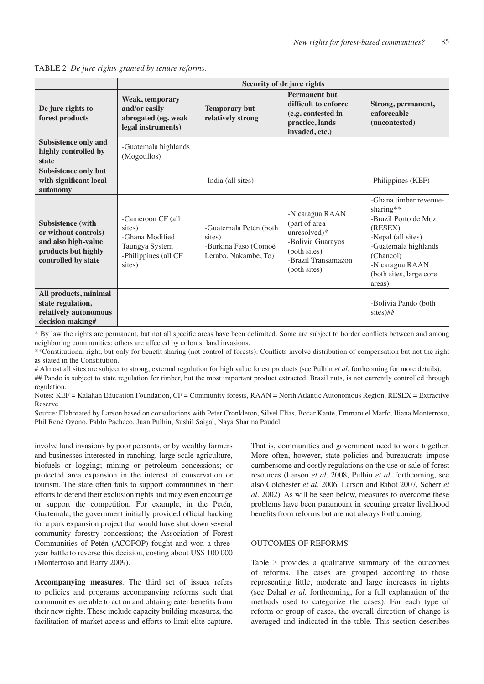|                                                                                                                       | Security of de jure rights                                                                         |                                                                                  |                                                                                                                              |                                                                                                                                                                                           |
|-----------------------------------------------------------------------------------------------------------------------|----------------------------------------------------------------------------------------------------|----------------------------------------------------------------------------------|------------------------------------------------------------------------------------------------------------------------------|-------------------------------------------------------------------------------------------------------------------------------------------------------------------------------------------|
| De jure rights to<br>forest products                                                                                  | Weak, temporary<br>and/or easily<br>abrogated (eg. weak<br>legal instruments)                      | <b>Temporary but</b><br>relatively strong                                        | <b>Permanent but</b><br>difficult to enforce<br>(e.g. contested in<br>practice, lands<br>invaded, etc.)                      | Strong, permanent,<br>enforceable<br>(uncontested)                                                                                                                                        |
| <b>Subsistence only and</b><br>highly controlled by<br>state                                                          | -Guatemala highlands<br>(Mogotillos)                                                               |                                                                                  |                                                                                                                              |                                                                                                                                                                                           |
| Subsistence only but<br>with significant local<br>autonomy                                                            |                                                                                                    | -India (all sites)                                                               |                                                                                                                              | -Philippines (KEF)                                                                                                                                                                        |
| <b>Subsistence</b> (with<br>or without controls)<br>and also high-value<br>products but highly<br>controlled by state | -Cameroon CF (all<br>sites)<br>-Ghana Modified<br>Taungya System<br>-Philippines (all CF<br>sites) | -Guatemala Petén (both<br>sites)<br>-Burkina Faso (Comoé<br>Leraba, Nakambe, To) | -Nicaragua RAAN<br>(part of area<br>unresolved)*<br>-Bolivia Guarayos<br>(both sites)<br>-Brazil Transamazon<br>(both sites) | -Ghana timber revenue-<br>sharing**<br>-Brazil Porto de Moz<br>(RESEX)<br>-Nepal (all sites)<br>-Guatemala highlands<br>(Chancol)<br>-Nicaragua RAAN<br>(both sites, large core<br>areas) |
| All products, minimal<br>state regulation,<br>relatively autonomous<br>decision making#                               |                                                                                                    |                                                                                  |                                                                                                                              | -Bolivia Pando (both<br>sites) $##$                                                                                                                                                       |

#### Table 2 *De jure rights granted by tenure reforms.*

\* By law the rights are permanent, but not all specific areas have been delimited. Some are subject to border conflicts between and among neighboring communities; others are affected by colonist land invasions.

\*\*Constitutional right, but only for benefit sharing (not control of forests). Conflicts involve distribution of compensation but not the right as stated in the Constitution.

# Almost all sites are subject to strong, external regulation for high value forest products (see Pulhin *et al*. forthcoming for more details). ## Pando is subject to state regulation for timber, but the most important product extracted, Brazil nuts, is not currently controlled through regulation.

Notes: KEF = Kalahan Education Foundation, CF = Community forests, RAAN = North Atlantic Autonomous Region, RESEX = Extractive Reserve

Source: Elaborated by Larson based on consultations with Peter Cronkleton, Silvel Elías, Bocar Kante, Emmanuel Marfo, Iliana Monterroso, Phil René Oyono, Pablo Pacheco, Juan Pulhin, Sushil Saigal, Naya Sharma Paudel

involve land invasions by poor peasants, or by wealthy farmers and businesses interested in ranching, large-scale agriculture, biofuels or logging; mining or petroleum concessions; or protected area expansion in the interest of conservation or tourism. The state often fails to support communities in their efforts to defend their exclusion rights and may even encourage or support the competition. For example, in the Petén, Guatemala, the government initially provided official backing for a park expansion project that would have shut down several community forestry concessions; the Association of Forest Communities of Petén (ACOFOP) fought and won a threeyear battle to reverse this decision, costing about US\$ 100 000 (Monterroso and Barry 2009).

**Accompanying measures**. The third set of issues refers to policies and programs accompanying reforms such that communities are able to act on and obtain greater benefits from their new rights. These include capacity building measures, the facilitation of market access and efforts to limit elite capture.

That is, communities and government need to work together. More often, however, state policies and bureaucrats impose cumbersome and costly regulations on the use or sale of forest resources (Larson *et al*. 2008, Pulhin *et al*. forthcoming, see also Colchester *et al*. 2006, Larson and Ribot 2007, Scherr *et al*. 2002). As will be seen below, measures to overcome these problems have been paramount in securing greater livelihood benefits from reforms but are not always forthcoming.

## OUTCOMES OF REFORMS

Table 3 provides a qualitative summary of the outcomes of reforms. The cases are grouped according to those representing little, moderate and large increases in rights (see Dahal *et al.* forthcoming, for a full explanation of the methods used to categorize the cases). For each type of reform or group of cases, the overall direction of change is averaged and indicated in the table. This section describes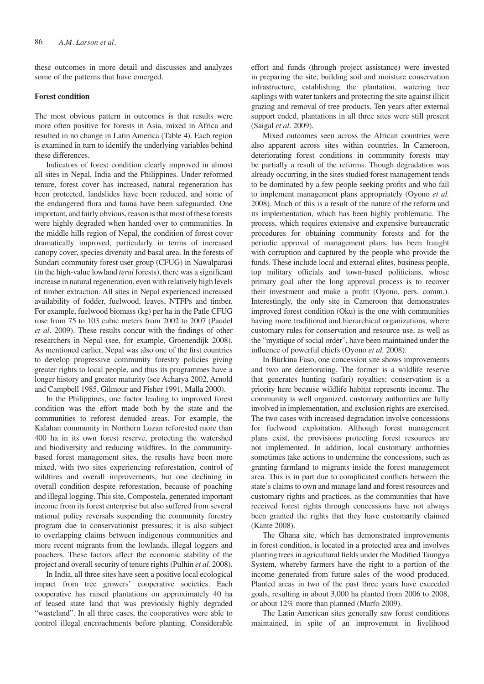these outcomes in more detail and discusses and analyzes some of the patterns that have emerged.

## **Forest condition**

The most obvious pattern in outcomes is that results were more often positive for forests in Asia, mixed in Africa and resulted in no change in Latin America (Table 4). Each region is examined in turn to identify the underlying variables behind these differences.

Indicators of forest condition clearly improved in almost all sites in Nepal, India and the Philippines. Under reformed tenure, forest cover has increased, natural regeneration has been protected, landslides have been reduced, and some of the endangered flora and fauna have been safeguarded. One important, and fairly obvious, reason is that most of these forests were highly degraded when handed over to communities. In the middle hills region of Nepal, the condition of forest cover dramatically improved, particularly in terms of increased canopy cover, species diversity and basal area. In the forests of Sundari community forest user group (CFUG) in Nawalparasi (in the high-value lowland *terai* forests), there was a significant increase in natural regeneration, even with relatively high levels of timber extraction. All sites in Nepal experienced increased availability of fodder, fuelwood, leaves, NTFPs and timber. For example, fuelwood biomass (kg) per ha in the Patle CFUG rose from 75 to 103 cubic meters from 2002 to 2007 (Paudel *et al*. 2009). These results concur with the findings of other researchers in Nepal (see, for example, Groenendijk 2008). As mentioned earlier, Nepal was also one of the first countries to develop progressive community forestry policies giving greater rights to local people, and thus its programmes have a longer history and greater maturity (see Acharya 2002, Arnold and Campbell 1985, Gilmour and Fisher 1991, Malla 2000).

In the Philippines, one factor leading to improved forest condition was the effort made both by the state and the communities to reforest denuded areas. For example, the Kalahan community in Northern Luzan reforested more than 400 ha in its own forest reserve, protecting the watershed and biodiversity and reducing wildfires. In the communitybased forest management sites, the results have been more mixed, with two sites experiencing reforestation, control of wildfires and overall improvements, but one declining in overall condition despite reforestation, because of poaching and illegal logging. This site, Compostela, generated important income from its forest enterprise but also suffered from several national policy reversals suspending the community forestry program due to conservationist pressures; it is also subject to overlapping claims between indigenous communities and more recent migrants from the lowlands, illegal loggers and poachers. These factors affect the economic stability of the project and overall security of tenure rights (Pulhin *et al.* 2008).

In India, all three sites have seen a positive local ecological impact from tree growers' cooperative societies. Each cooperative has raised plantations on approximately 40 ha of leased state land that was previously highly degraded "wasteland". In all three cases, the cooperatives were able to control illegal encroachments before planting. Considerable effort and funds (through project assistance) were invested in preparing the site, building soil and moisture conservation infrastructure, establishing the plantation, watering tree saplings with water tankers and protecting the site against illicit grazing and removal of tree products. Ten years after external support ended, plantations in all three sites were still present (Saigal *et al*. 2009).

Mixed outcomes seen across the African countries were also apparent across sites within countries. In Cameroon, deteriorating forest conditions in community forests may be partially a result of the reforms. Though degradation was already occurring, in the sites studied forest management tends to be dominated by a few people seeking profits and who fail to implement management plans appropriately (Oyono *et al.* 2008). Much of this is a result of the nature of the reform and its implementation, which has been highly problematic. The process, which requires extensive and expensive bureaucratic procedures for obtaining community forests and for the periodic approval of management plans, has been fraught with corruption and captured by the people who provide the funds. These include local and external elites, business people, top military officials and town-based politicians, whose primary goal after the long approval process is to recover their investment and make a profit (Oyono, pers. comm.). Interestingly, the only site in Cameroon that demonstrates improved forest condition (Oku) is the one with communities having more traditional and hierarchical organizations, where customary rules for conservation and resource use, as well as the "mystique of social order", have been maintained under the influence of powerful chiefs (Oyono *et al.* 2008).

In Burkina Faso, one concession site shows improvements and two are deteriorating. The former is a wildlife reserve that generates hunting (safari) royalties; conservation is a priority here because wildlife habitat represents income. The community is well organized, customary authorities are fully involved in implementation, and exclusion rights are exercised. The two cases with increased degradation involve concessions for fuelwood exploitation. Although forest management plans exist, the provisions protecting forest resources are not implemented. In addition, local customary authorities sometimes take actions to undermine the concessions, such as granting farmland to migrants inside the forest management area. This is in part due to complicated conflicts between the state's claims to own and manage land and forest resources and customary rights and practices, as the communities that have received forest rights through concessions have not always been granted the rights that they have customarily claimed (Kante 2008).

The Ghana site, which has demonstrated improvements in forest condition, is located in a protected area and involves planting trees in agricultural fields under the Modified Taungya System, whereby farmers have the right to a portion of the income generated from future sales of the wood produced. Planted areas in two of the past three years have exceeded goals, resulting in about 3,000 ha planted from 2006 to 2008, or about 12% more than planned (Marfo 2009).

The Latin American sites generally saw forest conditions maintained, in spite of an improvement in livelihood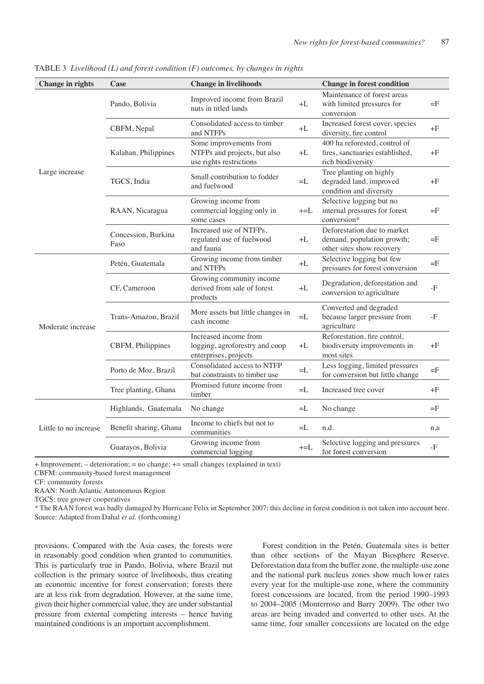| <b>Change in rights</b> | Case                        | <b>Change in livelihoods</b>                                                      |         | <b>Change in forest condition</b>                                                      |       |
|-------------------------|-----------------------------|-----------------------------------------------------------------------------------|---------|----------------------------------------------------------------------------------------|-------|
| Large increase          | Pando, Bolivia              | Improved income from Brazil<br>nuts in titled lands                               | $+L$    | Maintenance of forest areas<br>with limited pressures for<br>conversion                | $=$ F |
|                         | CBFM, Nepal                 | Consolidated access to timber<br>and NTFPs                                        | +L      | Increased forest cover, species<br>diversity, fire control                             | $+F$  |
|                         | Kalahan, Philippines        | Some improvements from<br>NTFPs and projects, but also<br>use rights restrictions | +L      | 400 ha reforested, control of<br>fires, sanctuaries established,<br>rich biodiversity  | +F    |
|                         | TGCS, India                 | Small contribution to fodder<br>and fuelwood                                      | $=$ L   | Tree planting on highly<br>degraded land, improved<br>condition and diversity          | $+F$  |
|                         | RAAN, Nicaragua             | Growing income from<br>commercial logging only in<br>some cases                   | $+ = L$ | Selective logging but no<br>internal pressures for forest<br>conversion*               | $=$ F |
|                         | Concession, Burkina<br>Faso | Increased use of NTFPs,<br>regulated use of fuelwood<br>and fauna                 | +L      | Deforestation due to market<br>demand, population growth;<br>other sites show recovery | $=$ F |
| Moderate increase       | Petén, Guatemala            | Growing income from timber<br>and NTFPs                                           | +L      | Selective logging but few<br>pressures for forest conversion                           | $=$ F |
|                         | CF, Cameroon                | Growing community income<br>derived from sale of forest<br>products               | +L      | Degradation, deforestation and<br>conversion to agriculture                            | $-F$  |
|                         | Trans-Amazon, Brazil        | More assets but little changes in<br>cash income                                  | $=$ L   | Converted and degraded<br>because larger pressure from<br>agriculture                  | $-F$  |
|                         | CBFM, Philippines           | Increased income from<br>logging, agroforestry and coop<br>enterprises, projects  | $+L$    | Reforestation, fire control,<br>biodiversity improvements in<br>most sites             | $+F$  |
|                         | Porto de Moz, Brazil        | Consolidated access to NTFP<br>but constraints to timber use                      | $=L$    | Less logging, limited pressures<br>for conversion but little change                    | $=$ F |
|                         | Tree planting, Ghana        | Promised future income from<br>timber                                             | $=L$    | Increased tree cover                                                                   | $+F$  |
| Little to no increase   | Highlands, Guatemala        | No change                                                                         | $=$ L   | No change                                                                              | $=$ F |
|                         | Benefit sharing, Ghana      | Income to chiefs but not to<br>communities                                        | $=L$    | n.d.                                                                                   | n,a   |
|                         | Guarayos, Bolivia           | Growing income from<br>commercial logging                                         | +=L     | Selective logging and pressures<br>for forest conversion                               | -F    |

Table 3 *Livelihood (L) and forest condition (F) outcomes, by changes in rights*

+ Improvement; – deterioration; = no change; += small changes (explained in text)

CBFM: community-based forest management

CF: community forests

RAAN: North Atlantic Autonomous Region

TGCS: tree grower cooperatives

\* The RAAN forest was badly damaged by Hurricane Felix in September 2007; this decline in forest condition is not taken into account here. Source: Adapted from Dahal *et al.* (forthcoming)

provisions. Compared with the Asia cases, the forests were in reasonably good condition when granted to communities. This is particularly true in Pando, Bolivia, where Brazil nut collection is the primary source of livelihoods, thus creating an economic incentive for forest conservation; forests there are at less risk from degradation. However, at the same time, given their higher commercial value, they are under substantial pressure from external competing interests – hence having maintained conditions is an important accomplishment.

Forest condition in the Petén, Guatemala sites is better than other sections of the Mayan Biosphere Reserve. Deforestation data from the buffer zone, the multiple-use zone and the national park nucleus zones show much lower rates every year for the multiple-use zone, where the community forest concessions are located, from the period 1990–1993 to 2004–2005 (Monterroso and Barry 2009). The other two areas are being invaded and converted to other uses. At the same time, four smaller concessions are located on the edge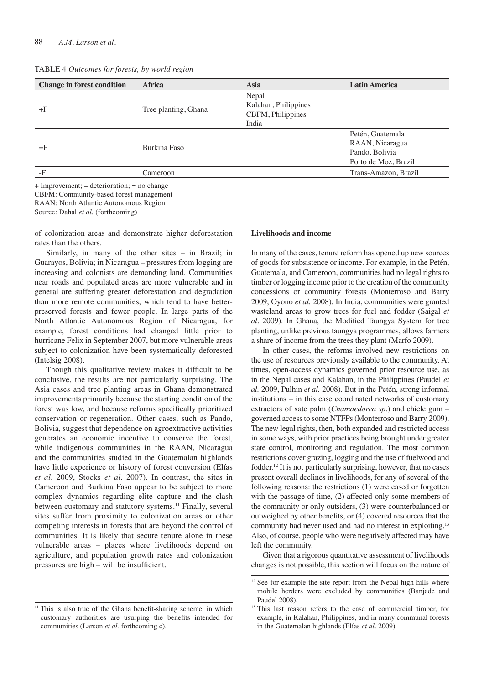| TABLE 4 Outcomes for forests, by world region |  |  |
|-----------------------------------------------|--|--|
|                                               |  |  |

| <b>Change in forest condition</b>                 | <b>Africa</b>        | Asia                          | <b>Latin America</b> |
|---------------------------------------------------|----------------------|-------------------------------|----------------------|
|                                                   |                      | Nepal<br>Kalahan, Philippines |                      |
| $+F$                                              | Tree planting, Ghana | CBFM, Philippines             |                      |
|                                                   |                      | India                         |                      |
|                                                   |                      |                               | Petén, Guatemala     |
| $=$ F                                             | Burkina Faso         |                               | RAAN, Nicaragua      |
|                                                   |                      |                               | Pando, Bolivia       |
|                                                   |                      |                               | Porto de Moz, Brazil |
| $-F$                                              | Cameroon             |                               | Trans-Amazon, Brazil |
| $+$ Improvement; $-$ deterioration; $=$ no change |                      |                               |                      |

CBFM: Community-based forest management RAAN: North Atlantic Autonomous Region Source: Dahal *et al.* (forthcoming)

of colonization areas and demonstrate higher deforestation rates than the others.

Similarly, in many of the other sites – in Brazil; in Guarayos, Bolivia; in Nicaragua – pressures from logging are increasing and colonists are demanding land. Communities near roads and populated areas are more vulnerable and in general are suffering greater deforestation and degradation than more remote communities, which tend to have betterpreserved forests and fewer people. In large parts of the North Atlantic Autonomous Region of Nicaragua, for example, forest conditions had changed little prior to hurricane Felix in September 2007, but more vulnerable areas subject to colonization have been systematically deforested (Intelsig 2008).

Though this qualitative review makes it difficult to be conclusive, the results are not particularly surprising. The Asia cases and tree planting areas in Ghana demonstrated improvements primarily because the starting condition of the forest was low, and because reforms specifically prioritized conservation or regeneration. Other cases, such as Pando, Bolivia, suggest that dependence on agroextractive activities generates an economic incentive to conserve the forest, while indigenous communities in the RAAN, Nicaragua and the communities studied in the Guatemalan highlands have little experience or history of forest conversion (Elías *et al*. 2009, Stocks *et al*. 2007). In contrast, the sites in Cameroon and Burkina Faso appear to be subject to more complex dynamics regarding elite capture and the clash between customary and statutory systems.<sup>11</sup> Finally, several sites suffer from proximity to colonization areas or other competing interests in forests that are beyond the control of communities. It is likely that secure tenure alone in these vulnerable areas – places where livelihoods depend on agriculture, and population growth rates and colonization pressures are high – will be insufficient.

## **Livelihoods and income**

In many of the cases, tenure reform has opened up new sources of goods for subsistence or income. For example, in the Petén, Guatemala, and Cameroon, communities had no legal rights to timber or logging income prior to the creation of the community concessions or community forests (Monterroso and Barry 2009, Oyono *et al.* 2008). In India, communities were granted wasteland areas to grow trees for fuel and fodder (Saigal *et al*. 2009). In Ghana, the Modified Taungya System for tree planting, unlike previous taungya programmes, allows farmers a share of income from the trees they plant (Marfo 2009).

In other cases, the reforms involved new restrictions on the use of resources previously available to the community. At times, open-access dynamics governed prior resource use, as in the Nepal cases and Kalahan, in the Philippines (Paudel *et al.* 2009, Pulhin *et al.* 2008). But in the Petén, strong informal institutions – in this case coordinated networks of customary extractors of xate palm (*Chamaedorea sp*.) and chicle gum – governed access to some NTFPs (Monterroso and Barry 2009). The new legal rights, then, both expanded and restricted access in some ways, with prior practices being brought under greater state control, monitoring and regulation. The most common restrictions cover grazing, logging and the use of fuelwood and fodder.12 It is not particularly surprising, however, that no cases present overall declines in livelihoods, for any of several of the following reasons: the restrictions (1) were eased or forgotten with the passage of time, (2) affected only some members of the community or only outsiders, (3) were counterbalanced or outweighed by other benefits, or (4) covered resources that the community had never used and had no interest in exploiting.13 Also, of course, people who were negatively affected may have left the community.

Given that a rigorous quantitative assessment of livelihoods changes is not possible, this section will focus on the nature of

<sup>&</sup>lt;sup>11</sup> This is also true of the Ghana benefit-sharing scheme, in which customary authorities are usurping the benefits intended for communities (Larson *et al.* forthcoming c).

<sup>&</sup>lt;sup>12</sup> See for example the site report from the Nepal high hills where mobile herders were excluded by communities (Banjade and Paudel 2008).

<sup>&</sup>lt;sup>13</sup> This last reason refers to the case of commercial timber, for example, in Kalahan, Philippines, and in many communal forests in the Guatemalan highlands (Elías *et al*. 2009).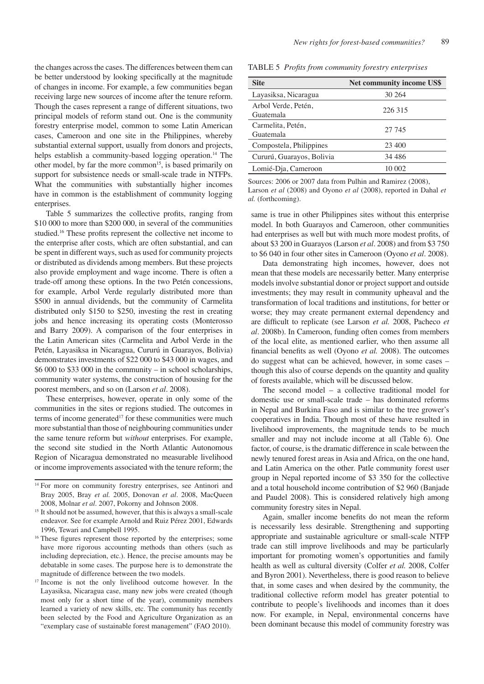the changes across the cases. The differences between them can be better understood by looking specifically at the magnitude of changes in income. For example, a few communities began receiving large new sources of income after the tenure reform. Though the cases represent a range of different situations, two principal models of reform stand out. One is the community forestry enterprise model, common to some Latin American cases, Cameroon and one site in the Philippines, whereby substantial external support, usually from donors and projects, helps establish a community-based logging operation.<sup>14</sup> The other model, by far the more common<sup>15</sup>, is based primarily on support for subsistence needs or small-scale trade in NTFPs. What the communities with substantially higher incomes have in common is the establishment of community logging enterprises.

Table 5 summarizes the collective profits, ranging from \$10,000 to more than \$200,000, in several of the communities studied.16 These profits represent the collective net income to the enterprise after costs, which are often substantial, and can be spent in different ways, such as used for community projects or distributed as dividends among members. But these projects also provide employment and wage income. There is often a trade-off among these options. In the two Petén concessions, for example, Arbol Verde regularly distributed more than \$500 in annual dividends, but the community of Carmelita distributed only \$150 to \$250, investing the rest in creating jobs and hence increasing its operating costs (Monterosso and Barry 2009). A comparison of the four enterprises in the Latin American sites (Carmelita and Arbol Verde in the Petén, Layasiksa in Nicaragua, Cururú in Guarayos, Bolivia) demonstrates investments of \$22 000 to \$43 000 in wages, and  $$6,000$  to \$33,000 in the community – in school scholarships, community water systems, the construction of housing for the poorest members, and so on (Larson *et al*. 2008).

These enterprises, however, operate in only some of the communities in the sites or regions studied. The outcomes in terms of income generated<sup>17</sup> for these communities were much more substantial than those of neighbouring communities under the same tenure reform but *without* enterprises. For example, the second site studied in the North Atlantic Autonomous Region of Nicaragua demonstrated no measurable livelihood or income improvements associated with the tenure reform; the

- <sup>14</sup> For more on community forestry enterprises, see Antinori and Bray 2005, Bray *et al.* 2005, Donovan *et al*. 2008, MacQueen 2008, Molnar *et al*. 2007, Pokorny and Johnson 2008.
- <sup>15</sup> It should not be assumed, however, that this is always a small-scale endeavor. See for example Arnold and Ruiz Pérez 2001, Edwards 1996, Tewari and Campbell 1995.
- <sup>16</sup> These figures represent those reported by the enterprises; some have more rigorous accounting methods than others (such as including depreciation, etc.). Hence, the precise amounts may be debatable in some cases. The purpose here is to demonstrate the magnitude of difference between the two models.
- <sup>17</sup> Income is not the only livelihood outcome however. In the Layasiksa, Nicaragua case, many new jobs were created (though most only for a short time of the year), community members learned a variety of new skills, etc. The community has recently been selected by the Food and Agriculture Organization as an "exemplary case of sustainable forest management" (FAO 2010).

Table 5 *Profits from community forestry enterprises*

| <b>Site</b>                      | <b>Net community income US\$</b> |
|----------------------------------|----------------------------------|
| Layasiksa, Nicaragua             | 30 264                           |
| Arbol Verde, Petén,<br>Guatemala | 226 315                          |
| Carmelita, Petén,<br>Guatemala   | 27 745                           |
| Compostela, Philippines          | 23 400                           |
| Cururú, Guarayos, Bolivia        | 34 4 8 6                         |
| Lomié-Dja, Cameroon              | 10.002                           |

Sources: 2006 or 2007 data from Pulhin and Ramirez (2008), Larson *et al* (2008) and Oyono *et al* (2008), reported in Dahal *et al.* (forthcoming).

same is true in other Philippines sites without this enterprise model. In both Guarayos and Cameroon, other communities had enterprises as well but with much more modest profits, of about \$3 200 in Guarayos (Larson *et al*. 2008) and from \$3 750 to \$6 040 in four other sites in Cameroon (Oyono *et al*. 2008).

Data demonstrating high incomes, however, does not mean that these models are necessarily better. Many enterprise models involve substantial donor or project support and outside investments; they may result in community upheaval and the transformation of local traditions and institutions, for better or worse; they may create permanent external dependency and are difficult to replicate (see Larson *et al.* 2008, Pacheco *et al*. 2008b). In Cameroon, funding often comes from members of the local elite, as mentioned earlier, who then assume all financial benefits as well (Oyono *et al.* 2008). The outcomes do suggest what can be achieved, however, in some cases – though this also of course depends on the quantity and quality of forests available, which will be discussed below.

The second model – a collective traditional model for domestic use or small-scale trade – has dominated reforms in Nepal and Burkina Faso and is similar to the tree grower's cooperatives in India. Though most of these have resulted in livelihood improvements, the magnitude tends to be much smaller and may not include income at all (Table 6). One factor, of course, is the dramatic difference in scale between the newly tenured forest areas in Asia and Africa, on the one hand, and Latin America on the other. Patle community forest user group in Nepal reported income of \$3 350 for the collective and a total household income contribution of \$2 960 (Banjade and Paudel 2008). This is considered relatively high among community forestry sites in Nepal.

Again, smaller income benefits do not mean the reform is necessarily less desirable. Strengthening and supporting appropriate and sustainable agriculture or small-scale NTFP trade can still improve livelihoods and may be particularly important for promoting women's opportunities and family health as well as cultural diversity (Colfer *et al.* 2008, Colfer and Byron 2001). Nevertheless, there is good reason to believe that, in some cases and when desired by the community, the traditional collective reform model has greater potential to contribute to people's livelihoods and incomes than it does now. For example, in Nepal, environmental concerns have been dominant because this model of community forestry was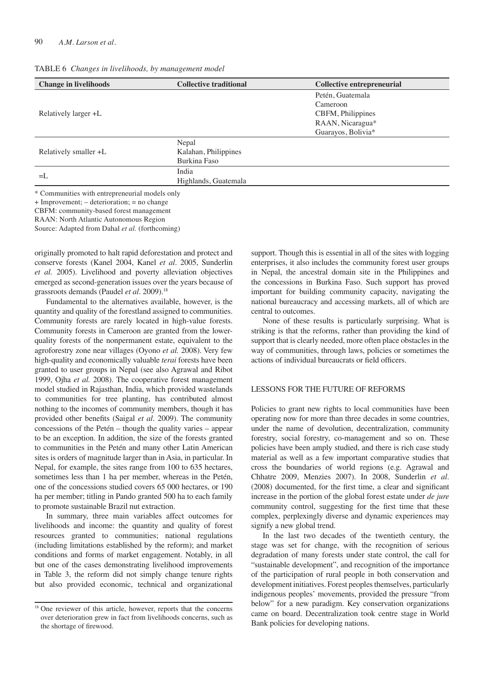| <b>Change in livelihoods</b>                   | <b>Collective traditional</b> | Collective entrepreneurial |
|------------------------------------------------|-------------------------------|----------------------------|
|                                                |                               | Petén, Guatemala           |
|                                                |                               | Cameroon                   |
| Relatively larger +L                           |                               | CBFM, Philippines          |
|                                                |                               | RAAN, Nicaragua*           |
|                                                |                               | Guarayos, Bolivia*         |
|                                                | Nepal                         |                            |
| Relatively smaller +L                          | Kalahan, Philippines          |                            |
|                                                | Burkina Faso                  |                            |
|                                                | India                         |                            |
| $=$ L                                          | Highlands, Guatemala          |                            |
| * Communities with entrepreneurial models only |                               |                            |

Table 6*Changes in livelihoods, by management model*

Communities with entrepreneurial models only

+ Improvement; – deterioration; = no change

CBFM: community-based forest management

RAAN: North Atlantic Autonomous Region

Source: Adapted from Dahal *et al.* (forthcoming)

originally promoted to halt rapid deforestation and protect and conserve forests (Kanel 2004, Kanel *et al*. 2005, Sunderlin *et al.* 2005). Livelihood and poverty alleviation objectives emerged as second-generation issues over the years because of grassroots demands (Paudel *et al*. 2009).18

Fundamental to the alternatives available, however, is the quantity and quality of the forestland assigned to communities. Community forests are rarely located in high-value forests. Community forests in Cameroon are granted from the lowerquality forests of the nonpermanent estate, equivalent to the agroforestry zone near villages (Oyono *et al.* 2008). Very few high-quality and economically valuable *terai* forests have been granted to user groups in Nepal (see also Agrawal and Ribot 1999, Ojha *et al.* 2008). The cooperative forest management model studied in Rajasthan, India, which provided wastelands to communities for tree planting, has contributed almost nothing to the incomes of community members, though it has provided other benefits (Saigal *et al*. 2009). The community concessions of the Petén – though the quality varies – appear to be an exception. In addition, the size of the forests granted to communities in the Petén and many other Latin American sites is orders of magnitude larger than in Asia, in particular. In Nepal, for example, the sites range from 100 to 635 hectares, sometimes less than 1 ha per member, whereas in the Petén, one of the concessions studied covers 65 000 hectares, or 190 ha per member; titling in Pando granted 500 ha to each family to promote sustainable Brazil nut extraction.

In summary, three main variables affect outcomes for livelihoods and income: the quantity and quality of forest resources granted to communities; national regulations (including limitations established by the reform); and market conditions and forms of market engagement. Notably, in all but one of the cases demonstrating livelihood improvements in Table 3, the reform did not simply change tenure rights but also provided economic, technical and organizational

support. Though this is essential in all of the sites with logging enterprises, it also includes the community forest user groups in Nepal, the ancestral domain site in the Philippines and the concessions in Burkina Faso. Such support has proved important for building community capacity, navigating the national bureaucracy and accessing markets, all of which are central to outcomes.

None of these results is particularly surprising. What is striking is that the reforms, rather than providing the kind of support that is clearly needed, more often place obstacles in the way of communities, through laws, policies or sometimes the actions of individual bureaucrats or field officers.

#### LESSONS FOR THE FUTURE OF REFORMS

Policies to grant new rights to local communities have been operating now for more than three decades in some countries, under the name of devolution, decentralization, community forestry, social forestry, co-management and so on. These policies have been amply studied, and there is rich case study material as well as a few important comparative studies that cross the boundaries of world regions (e.g. Agrawal and Chhatre 2009, Menzies 2007). In 2008, Sunderlin *et al*. (2008) documented, for the first time, a clear and significant increase in the portion of the global forest estate under *de jure* community control, suggesting for the first time that these complex, perplexingly diverse and dynamic experiences may signify a new global trend.

In the last two decades of the twentieth century, the stage was set for change, with the recognition of serious degradation of many forests under state control, the call for "sustainable development", and recognition of the importance of the participation of rural people in both conservation and development initiatives. Forest peoples themselves, particularly indigenous peoples' movements, provided the pressure "from below" for a new paradigm. Key conservation organizations came on board. Decentralization took centre stage in World Bank policies for developing nations.

 $\overline{18}$  One reviewer of this article, however, reports that the concerns over deterioration grew in fact from livelihoods concerns, such as the shortage of firewood.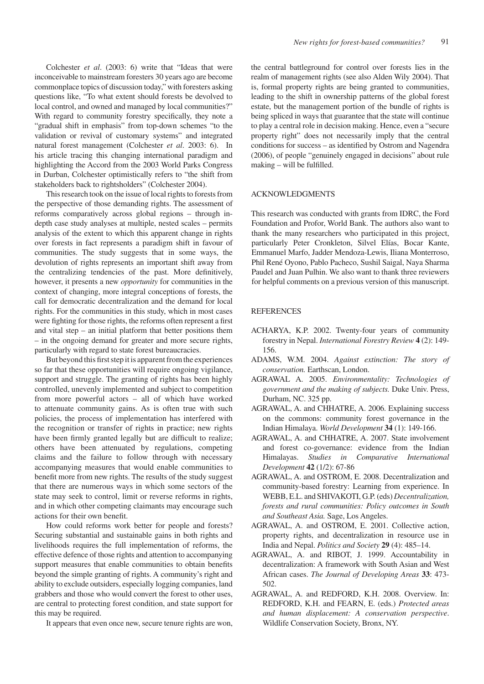Colchester *et al*. (2003: 6) write that "Ideas that were inconceivable to mainstream foresters 30 years ago are become commonplace topics of discussion today," with foresters asking questions like, "To what extent should forests be devolved to local control, and owned and managed by local communities?" With regard to community forestry specifically, they note a "gradual shift in emphasis" from top-down schemes "to the validation or revival of customary systems" and integrated natural forest management (Colchester *et al*. 2003: 6). In his article tracing this changing international paradigm and highlighting the Accord from the 2003 World Parks Congress in Durban, Colchester optimistically refers to "the shift from stakeholders back to rightsholders" (Colchester 2004).

This research took on the issue of local rights to forests from the perspective of those demanding rights. The assessment of reforms comparatively across global regions – through indepth case study analyses at multiple, nested scales – permits analysis of the extent to which this apparent change in rights over forests in fact represents a paradigm shift in favour of communities. The study suggests that in some ways, the devolution of rights represents an important shift away from the centralizing tendencies of the past. More definitively, however, it presents a new *opportunity* for communities in the context of changing, more integral conceptions of forests, the call for democratic decentralization and the demand for local rights. For the communities in this study, which in most cases were fighting for those rights, the reforms often represent a first and vital step – an initial platform that better positions them – in the ongoing demand for greater and more secure rights, particularly with regard to state forest bureaucracies.

But beyond this first step it is apparent from the experiences so far that these opportunities will require ongoing vigilance, support and struggle. The granting of rights has been highly controlled, unevenly implemented and subject to competition from more powerful actors – all of which have worked to attenuate community gains. As is often true with such policies, the process of implementation has interfered with the recognition or transfer of rights in practice; new rights have been firmly granted legally but are difficult to realize; others have been attenuated by regulations, competing claims and the failure to follow through with necessary accompanying measures that would enable communities to benefit more from new rights. The results of the study suggest that there are numerous ways in which some sectors of the state may seek to control, limit or reverse reforms in rights, and in which other competing claimants may encourage such actions for their own benefit.

How could reforms work better for people and forests? Securing substantial and sustainable gains in both rights and livelihoods requires the full implementation of reforms, the effective defence of those rights and attention to accompanying support measures that enable communities to obtain benefits beyond the simple granting of rights. A community's right and ability to exclude outsiders, especially logging companies, land grabbers and those who would convert the forest to other uses, are central to protecting forest condition, and state support for this may be required.

It appears that even once new, secure tenure rights are won,

the central battleground for control over forests lies in the realm of management rights (see also Alden Wily 2004). That is, formal property rights are being granted to communities, leading to the shift in ownership patterns of the global forest estate, but the management portion of the bundle of rights is being spliced in ways that guarantee that the state will continue to play a central role in decision making. Hence, even a "secure property right" does not necessarily imply that the central conditions for success – as identified by Ostrom and Nagendra (2006), of people "genuinely engaged in decisions" about rule making – will be fulfilled.

#### **ACKNOWLEDGMENTS**

This research was conducted with grants from IDRC, the Ford Foundation and Profor, World Bank. The authors also want to thank the many researchers who participated in this project, particularly Peter Cronkleton, Silvel Elías, Bocar Kante, Emmanuel Marfo, Jadder Mendoza-Lewis, Iliana Monterroso, Phil René Oyono, Pablo Pacheco, Sushil Saigal, Naya Sharma Paudel and Juan Pulhin. We also want to thank three reviewers for helpful comments on a previous version of this manuscript.

#### **REFERENCES**

- ACHARYA, K.P. 2002. Twenty-four years of community forestry in Nepal. *International Forestry Review* **4** (2): 149- 156.
- ADAMS, W.M. 2004. *Against extinction: The story of conservation.* Earthscan, London.
- AGRAWAL A. 2005. *Environmentality: Technologies of government and the making of subjects.* Duke Univ. Press, Durham, NC. 325 pp.
- AGRAWAL, A. and CHHATRE, A. 2006. Explaining success on the commons: community forest governance in the Indian Himalaya. *World Development* **34** (1): 149-166.
- AGRAWAL, A. and CHHATRE, A. 2007. State involvement and forest co-governance: evidence from the Indian Himalayas. *Studies in Comparative International Development* **42** (1/2): 67-86
- AGRAWAL, A. and OSTROM, E. 2008. Decentralization and community-based forestry: Learning from experience. In WEBB, E.L. and SHIVAKOTI, G.P. (eds) *Decentralization*, *forests and rural communities: Policy outcomes in South and Southeast Asia.* Sage, Los Angeles.
- AGRAWAL, A. and OSTROM, E. 2001. Collective action, property rights, and decentralization in resource use in India and Nepal. *Politics and Society* **29** (4): 485–14.
- AGRAWAL, A. and RIBOT, J. 1999. Accountability in decentralization: A framework with South Asian and West African cases. *The Journal of Developing Areas* **33**: 473- 502.
- AGRAWAL, A. and REDFORD, K.H. 2008. Overview. In: REDFORD, K.H. and FEARN, E. (eds.) Protected areas *and human displacement: A conservation perspective*. Wildlife Conservation Society, Bronx, NY.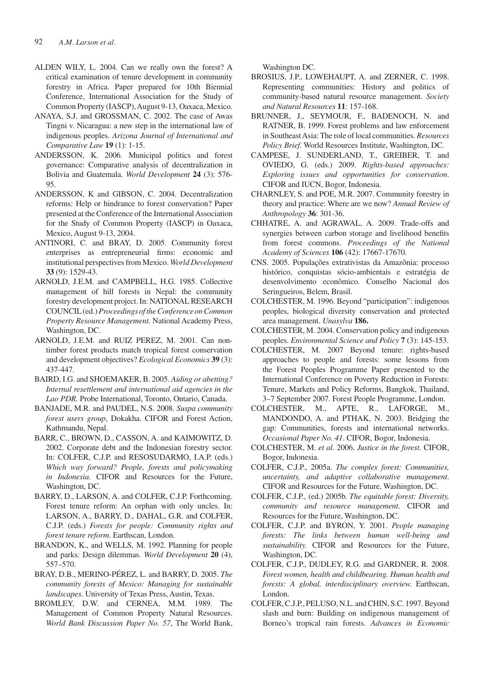- ALDEN WILY, L. 2004. Can we really own the forest? A critical examination of tenure development in community forestry in Africa. Paper prepared for 10th Biennial Conference, International Association for the Study of Common Property (IASCP), August 9-13, Oaxaca, Mexico.
- ANAYA, S.J. and GROSSMAN, C. 2002. The case of Awas Tingni v. Nicaragua: a new step in the international law of indigenous peoples. *Arizona Journal of International and Comparative Law* **19** (1): 1-15.
- ANDERSSON, K. 2006. Municipal politics and forest governance: Comparative analysis of decentralization in Bolivia and Guatemala. *World Development* **24** (3): 576- 95.
- ANDERSSON, K and GIBSON, C. 2004. Decentralization reforms: Help or hindrance to forest conservation? Paper presented at the Conference of the International Association for the Study of Common Property (IASCP) in Oaxaca, Mexico, August 9-13, 2004.
- ANTINORI, C. and BRAY, D. 2005. Community forest enterprises as entrepreneurial firms: economic and institutional perspectives from Mexico. *World Development* **33** (9): 1529-43.
- ARNOLD, J.E.M. and CAMPBELL, H.G. 1985. Collective management of hill forests in Nepal: the community forestry development project. In: NATIONAL RESEARCH Council (ed.) *Proceedings of the Conference on Common Property Resource Management.* National Academy Press, Washington, DC.
- ARNOLD, J.E.M. and RUIZ PEREZ, M. 2001. Can nontimber forest products match tropical forest conservation and development objectives? *Ecological Economics* **39** (3): 437-447.
- BAIRD, I.G. and SHOEMAKER, B. 2005. *Aiding or abetting? Internal resettlement and international aid agencies in the Lao PDR.* Probe International, Toronto, Ontario, Canada.
- BANJADE, M.R. and PAUDEL, N.S. 2008. *Suspa community forest users group*, Dokakha. CIFOR and Forest Action, Kathmandu, Nepal.
- BARR, C., BROWN, D., CASSON, A. and KAIMOWITZ, D. 2002. Corporate debt and the Indonesian forestry sector. In: COLFER, C.J.P. and RESOSUDARMO, I.A.P. (eds.) *Which way forward? People, forests and policymaking in Indonesia*. CIFOR and Resources for the Future, Washington, DC.
- BARRY, D., LARSON, A. and COLFER, C.J.P. Forthcoming. Forest tenure reform: An orphan with only uncles. In: LARSON, A., BARRY, D., DAHAL, G.R. and COLFER, C.J.P. (eds.) *Forests for people: Community rights and forest tenure reform*. Earthscan, London.
- BRANDON, K., and WELLS, M. 1992. Planning for people and parks: Design dilemmas. *World Development* **20** (4), 557–570.
- BRAY, D.B., MERINO-PÉREZ, L. and BARRY, D. 2005. *The community forests of Mexico: Managing for sustainable landscapes*. University of Texas Press, Austin, Texas.
- BROMLEY, D.W. and CERNEA, M.M. 1989. The Management of Common Property Natural Resources. *World Bank Discussion Paper No. 57*, The World Bank,

Washington DC.

- BROSIUS, J.P., LOWEHAUPT, A. and ZERNER, C. 1998. Representing communities: History and politics of community-based natural resource management. *Society and Natural Resources* **11**: 157-168.
- BRUNNER, J., SEYMOUR, F., BADENOCH, N. and RATNER, B. 1999. Forest problems and law enforcement in Southeast Asia: The role of local communities. *Resources Policy Brief.* World Resources Institute, Washington, DC.
- CAMPESE, J. SUNDERLAND, T., GREIBER, T. and OVIEDO, G. (eds.) 2009. *Rights-based approaches: Exploring issues and opportunities for conservation*. CIFOR and IUCN, Bogor, Indonesia.
- CHARNLEY, S. and POE, M.R. 2007. Community forestry in theory and practice: Where are we now? *Annual Review of Anthropology* **36**: 301-36.
- CHHATRE, A. and AGRAWAL, A. 2009. Trade-offs and synergies between carbon storage and livelihood benefits from forest commons. *Proceedings of the National Academy of Sciences* **106** (42): 17667-17670.
- CNS. 2005. Populações extrativistas da Amazônia: processo histórico, conquistas sócio-ambientais e estratégia de desenvolvimento econômico. Conselho Nacional dos Seringueiros, Belem, Brasil.
- COLCHESTER, M. 1996. Beyond "participation": indigenous peoples, biological diversity conservation and protected area management. *Unasylva* **186.**
- COLCHESTER, M. 2004. Conservation policy and indigenous peoples. *Environmental Science and Policy* **7** (3): 145-153.
- COLCHESTER, M. 2007 Beyond tenure: rights-based approaches to people and forests: some lessons from the Forest Peoples Programme Paper presented to the International Conference on Poverty Reduction in Forests: Tenure, Markets and Policy Reforms, Bangkok, Thailand, 3–7 September 2007. Forest People Programme, London.
- COLCHESTER, M., APTE, R., LAFORGE, M., MANDONDO, A. and PTHAK, N. 2003. Bridging the gap: Communities, forests and international networks. *Occasional Paper No. 41*. CIFOR, Bogor, Indonesia.
- COLCHESTER, M. *et al*. 2006. *Justice in the forest*. CIFOR, Bogor, Indonesia.
- COLFER, C.J.P., 2005a. *The complex forest: Communities, uncertainty, and adaptive collaborative management*. CIFOR and Resources for the Future, Washington, DC.
- COLFER, C.J.P., (ed.) 2005b. *The equitable forest: Diversity, community and resource management*. CIFOR and Resources for the Future, Washington, DC.
- COLFER, C.J.P. and BYRON, Y. 2001. *People managing forests: The links between human well-being and sustainability.* CIFOR and Resources for the Future, Washington, DC.
- COLFER, C.J.P., DUDLEY, R.G. and GARDNER, R. 2008. *Forest women, health and childbearing. Human health and forests: A global, interdisciplinary overview.* Earthscan, London.
- COLFER, C.J.P., PELUSO, N.L. and CHIN, S.C. 1997. Beyond slash and burn: Building on indigenous management of Borneo's tropical rain forests. *Advances in Economic*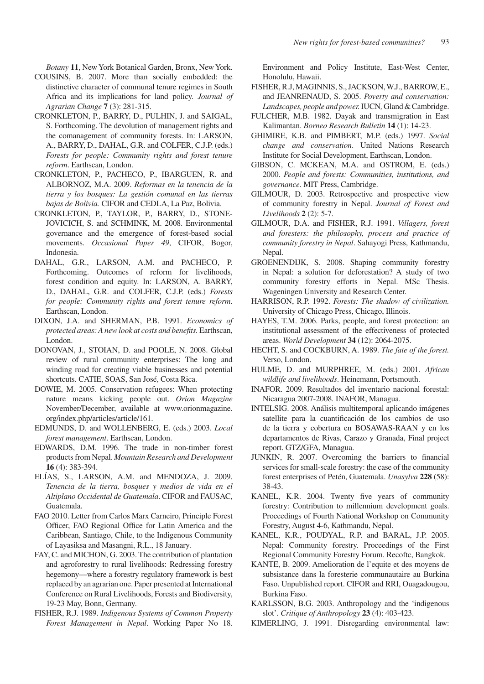*Botany* **11**, New York Botanical Garden, Bronx, New York.

- COUSINS, B. 2007. More than socially embedded: the distinctive character of communal tenure regimes in South Africa and its implications for land policy. *Journal of Agrarian Change* **7** (3): 281-315.
- CRONKLETON, P., BARRY, D., PULHIN, J. and SAIGAL, S. Forthcoming. The devolution of management rights and the comanagement of community forests. In: LARSON, A., BARRY, D., DAHAL, G.R. and COLFER, C.J.P. (eds.) *Forests for people: Community rights and forest tenure reform*. Earthscan, London.
- CRONKLETON, P., PACHECO, P., IBARGUEN, R. and ALBORNOZ, M.A. 2009. *Reformas en la tenencia de la tierra y los bosques: la gestión comunal en las tierras bajas de Bolivia.* CIFOR and CEDLA, La Paz, Bolivia.
- CRONKLETON, P., TAYLOR, P., BARRY, D., STONE-JOVICICH, S. and SCHMINK, M. 2008. Environmental governance and the emergence of forest-based social movements. *Occasional Paper 49*, CIFOR, Bogor, Indonesia.
- DAHAL, G.R., LARSON, A.M. and PACHECO, P. Forthcoming. Outcomes of reform for livelihoods, forest condition and equity. In: LARSON, A. BARRY, D., DAHAL, G.R. and COLFER, C.J.P. (eds.) *Forests for people: Community rights and forest tenure reform*. Earthscan, London.
- DIXON, J.A. and SHERMAN, P.B. 1991. *Economics of protected areas: A new look at costs and benefits.* Earthscan, London.
- DONOVAN, J., STOIAN, D. and POOLE, N. 2008. Global review of rural community enterprises: The long and winding road for creating viable businesses and potential shortcuts. CATIE, SOAS, San José, Costa Rica.
- DOWIE, M. 2005. Conservation refugees: When protecting nature means kicking people out. *Orion Magazine* November/December, available at www.orionmagazine. org/index.php/articles/article/161.
- EDMUNDS, D. and WOLLENBERG, E. (eds.) 2003. *Local forest management*. Earthscan, London.
- EDWARDS, D.M. 1996. The trade in non-timber forest products from Nepal. *Mountain Research and Development* **16** (4): 383-394.
- ELÍAS, S., LARSON, A.M. and MENDOZA, J. 2009. *Tenencia de la tierra, bosques y medios de vida en el Altiplano Occidental de Guatemala*. CIFOR and FAUSAC, Guatemala.
- FAO 2010. Letter from Carlos Marx Carneiro, Principle Forest Officer, FAO Regional Office for Latin America and the Caribbean, Santiago, Chile, to the Indigenous Community of Layasiksa and Masangni, R.L., 18 January.
- FAY, C. and MICHON, G. 2003. The contribution of plantation and agroforestry to rural livelihoods: Redressing forestry hegemony—where a forestry regulatory framework is best replaced by an agrarian one. Paper presented at International Conference on Rural Livelihoods, Forests and Biodiversity, 19-23 May, Bonn, Germany.
- FISHER, R.J. 1989. *Indigenous Systems of Common Property Forest Management in Nepal*. Working Paper No 18.

Environment and Policy Institute, East-West Center, Honolulu, Hawaii.

- FISHER, R.J, MAGINNIS, S., JACKSON, W.J., BARROW, E., and JEANRENAUD, S. 2005. *Poverty and conservation: Landscapes, people and power.* IUCN*,* Gland & Cambridge.
- FULCHER, M.B. 1982. Dayak and transmigration in East Kalimantan. *Borneo Research Bulletin* **14** (1): 14-23.
- GHIMIRE, K.B. and PIMBERT, M.P. (eds.) 1997. *Social change and conservation*. United Nations Research Institute for Social Development, Earthscan, London.
- GIBSON, C. MCKEAN, M.A. and OSTROM, E. (eds.) 2000. *People and forests: Communities, institutions, and governance*. MIT Press, Cambridge.
- GILMOUR, D. 2003. Retrospective and prospective view of community forestry in Nepal. *Journal of Forest and Livelihoods* **2** (2): 5-7.
- GILMOUR, D.A. and FISHER, R.J. 1991. *Villagers, forest and foresters: the philosophy, process and practice of community forestry in Nepal*. Sahayogi Press, Kathmandu, Nepal.
- GROENENDIJK, S. 2008. Shaping community forestry in Nepal: a solution for deforestation? A study of two community forestry efforts in Nepal. MSc Thesis. Wageningen University and Research Center.
- HARRISON, R.P. 1992. *Forests: The shadow of civilization.*  University of Chicago Press, Chicago, Illinois.
- HAYES, T.M. 2006. Parks, people, and forest protection: an institutional assessment of the effectiveness of protected areas. *World Development* **34** (12): 2064-2075.
- HECHT, S. and COCKBURN, A. 1989. *The fate of the forest.*  Verso, London.
- HULME, D. and MURPHREE, M. (eds.) 2001. *African wildlife and livelihoods*. Heinemann, Portsmouth.
- INAFOR. 2009. Resultados del inventario nacional forestal: Nicaragua 2007-2008. INAFOR, Managua.
- INTELSIG. 2008. Análisis multitemporal aplicando imágenes satellite para la cuantificación de los cambios de uso de la tierra y cobertura en BOSAWAS-RAAN y en los departamentos de Rivas, Carazo y Granada, Final project report. GTZ/GFA, Managua.
- JUNKIN, R. 2007. Overcoming the barriers to financial services for small-scale forestry: the case of the community forest enterprises of Petén, Guatemala. *Unasylva* **228** (58): 38-43.
- KANEL, K.R. 2004. Twenty five years of community forestry: Contribution to millennium development goals. Proceedings of Fourth National Workshop on Community Forestry, August 4-6, Kathmandu, Nepal.
- KANEL, K.R., POUDYAL, R.P. and BARAL, J.P. 2005. Nepal: Community forestry. Proceedings of the First Regional Community Forestry Forum. Recoftc, Bangkok.
- KANTE, B. 2009. Amelioration de l'equite et des moyens de subsistance dans la foresterie communautaire au Burkina Faso. Unpublished report. CIFOR and RRI, Ouagadougou, Burkina Faso.
- KARLSSON, B.G. 2003. Anthropology and the 'indigenous slot'. *Critique of Anthropology* **23** (4): 403-423.
- KIMERLING, J. 1991. Disregarding environmental law: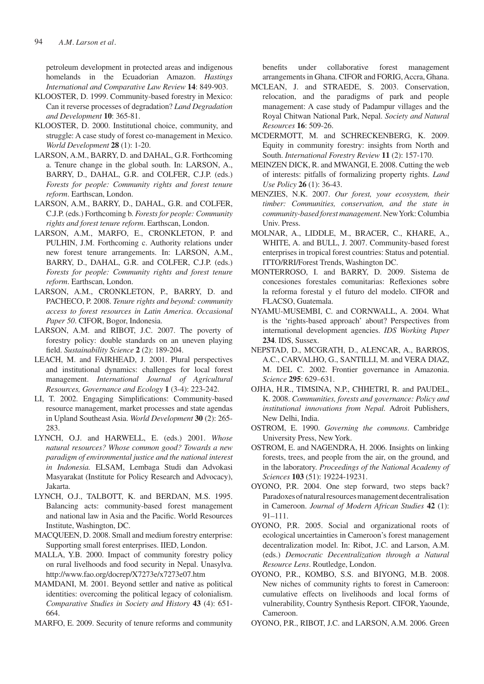petroleum development in protected areas and indigenous homelands in the Ecuadorian Amazon. *Hastings International and Comparative Law Review* **14**: 849-903.

- KLOOSTER, D. 1999. Community-based forestry in Mexico: Can it reverse processes of degradation? *Land Degradation and Development* **10**: 365-81.
- KLOOSTER, D. 2000. Institutional choice, community, and struggle: A case study of forest co-management in Mexico. *World Development* **28** (1): 1-20.
- LARSON, A.M., BARRY, D. and DAHAL, G.R. Forthcoming a. Tenure change in the global south. In: LARSON, A., BARRY, D., DAHAL, G.R. and COLFER, C.J.P. (eds.) *Forests for people: Community rights and forest tenure reform*. Earthscan, London.
- LARSON, A.M., BARRY, D., DAHAL, G.R. and COLFER, C.J.P. (eds.) Forthcoming b. *Forests for people: Community rights and forest tenure reform*. Earthscan, London.
- LARSON, A.M., MARFO, E., CRONKLETON, P. and PULHIN, J.M. Forthcoming c. Authority relations under new forest tenure arrangements. In: LARSON, A.M., BARRY, D., DAHAL, G.R. and COLFER, C.J.P. (eds.) *Forests for people: Community rights and forest tenure reform*. Earthscan, London.
- LARSON, A.M., CRONKLETON, P., BARRY, D. and PACHECO, P. 2008. *Tenure rights and beyond: community access to forest resources in Latin America*. *Occasional Paper 50*. CIFOR, Bogor, Indonesia.
- LARSON, A.M. and RIBOT, J.C. 2007. The poverty of forestry policy: double standards on an uneven playing field. *Sustainability Science* **2** (2): 189-204.
- LEACH, M. and FAIRHEAD, J. 2001. Plural perspectives and institutional dynamics: challenges for local forest management. *International Journal of Agricultural Resources, Governance and Ecology* **1** (3-4): 223-242.
- LI, T. 2002. Engaging Simplifications: Community-based resource management, market processes and state agendas in Upland Southeast Asia. *World Development* **30** (2): 265- 283.
- LYNCH, O.J. and HARWELL, E. (eds.) 2001. *Whose natural resources? Whose common good? Towards a new paradigm of environmental justice and the national interest in Indonesia.* ELSAM, Lembaga Studi dan Advokasi Masyarakat (Institute for Policy Research and Advocacy), Jakarta.
- LYNCH, O.J., TALBOTT, K. and BERDAN, M.S. 1995. Balancing acts: community-based forest management and national law in Asia and the Pacific. World Resources Institute, Washington, DC.
- MACQUEEN, D. 2008. Small and medium forestry enterprise: Supporting small forest enterprises. IIED, London.
- MALLA, Y.B. 2000. Impact of community forestry policy on rural livelhoods and food security in Nepal. Unasylva. http://www.fao.org/docrep/X7273e/x7273e07.htm
- MAMDANI, M. 2001. Beyond settler and native as political identities: overcoming the political legacy of colonialism. *Comparative Studies in Society and History* **43** (4): 651- 664.
- MARFO, E. 2009. Security of tenure reforms and community

benefits under collaborative forest management arrangements in Ghana. CIFOR and FORIG, Accra, Ghana.

- MCLEAN, J. and STRAEDE, S. 2003. Conservation, relocation, and the paradigms of park and people management: A case study of Padampur villages and the Royal Chitwan National Park, Nepal. *Society and Natural Resources* **16**: 509-26.
- MCDERMOTT, M. and SCHRECKENBERG, K. 2009. Equity in community forestry: insights from North and South. *International Forestry Review* **11** (2): 157-170.
- MEINZEN DICK, R. and MWANGI, E. 2008. Cutting the web of interests: pitfalls of formalizing property rights. *Land Use Policy* **26** (1): 36-43.
- MENZIES, N.K. 2007. *Our forest, your ecosystem, their timber: Communities, conservation, and the state in community-based forest management*. New York: Columbia Univ. Press.
- MOLNAR, A., LIDDLE, M., BRACER, C., KHARE, A., WHITE, A. and BULL, J. 2007. Community-based forest enterprises in tropical forest countries: status and potential. ITTO/RRI/Forest Trends, Washington DC.
- MONTERROSO, I. and BARRY, D. 2009. Sistema de concesiones forestales comunitarias: Reflexiones sobre la reforma forestal y el futuro del modelo. CIFOR and FLACSO, Guatemala.
- NYAMU-MUSEMBI, C. and CORNWALL, A. 2004. What is the 'rights-based approach' about? Perspectives from international development agencies. *IDS Working Paper*  **234**. IDS, Sussex.
- NEPSTAD, D., MCGRATH, D., ALENCAR, A., BARROS, A.C., CARVALHO, G., SANTILLI, M. and VERA DIAZ, M. DEL C. 2002. Frontier governance in Amazonia. *Science* **295**: 629–631.
- OJHA, H.R., TIMSINA, N.P., CHHETRI, R. and PAUDEL, K. 2008. *Communities, forests and governance: Policy and institutional innovations from Nepal.* Adroit Publishers, New Delhi, India.
- OSTROM, E. 1990. *Governing the commons*. Cambridge University Press, New York.
- OSTROM, E. and NAGENDRA, H. 2006. Insights on linking forests, trees, and people from the air, on the ground, and in the laboratory. *Proceedings of the National Academy of Sciences* **103** (51): 19224-19231.
- OYONO, P.R. 2004. One step forward, two steps back? Paradoxes of natural resources management decentralisation in Cameroon. *Journal of Modern African Studies* **42** (1): 91–111.
- OYONO, P.R. 2005. Social and organizational roots of ecological uncertainties in Cameroon's forest management decentralization model. In: Ribot, J.C. and Larson, A.M. (eds.) *Democratic Decentralization through a Natural Resource Lens*. Routledge, London.
- OYONO, P.R., KOMBO, S.S. and BIYONG, M.B. 2008. New niches of community rights to forest in Cameroon: cumulative effects on livelihoods and local forms of vulnerability, Country Synthesis Report. CIFOR, Yaounde, Cameroon.
- OYONO, P.R., RIBOT, J.C. and LARSON, A.M. 2006. Green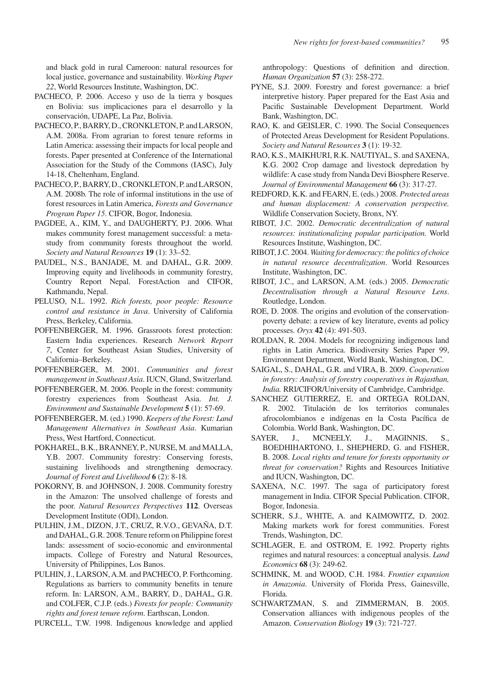and black gold in rural Cameroon: natural resources for local justice, governance and sustainability. *Working Paper 22*, World Resources Institute, Washington, DC.

- PACHECO, P. 2006. Acceso y uso de la tierra y bosques en Bolivia: sus implicaciones para el desarrollo y la conservación, UDAPE, La Paz, Bolivia.
- PACHECO, P., BARRY, D., CRONKLETON, P. and LARSON, A.M. 2008a. From agrarian to forest tenure reforms in Latin America: assessing their impacts for local people and forests. Paper presented at Conference of the International Association for the Study of the Commons (IASC), July 14-18, Cheltenham, England.
- PACHECO, P., BARRY, D., CRONKLETON, P. and LARSON, A.M. 2008b. The role of informal institutions in the use of forest resources in Latin America, *Forests and Governance Program Paper 15*. CIFOR, Bogor, Indonesia.
- PAGDEE, A., KIM, Y., and DAUGHERTY, P.J. 2006. What makes community forest management successful: a metastudy from community forests throughout the world. *Society and Natural Resources* **19** (1): 33–52.
- PAUDEL, N.S., BANJADE, M. and DAHAL, G.R. 2009. Improving equity and livelihoods in community forestry, Country Report Nepal. ForestAction and CIFOR, Kathmandu, Nepal.
- PELUSO, N.L. 1992. *Rich forests, poor people: Resource control and resistance in Java*. University of California Press, Berkeley, California.
- POFFENBERGER, M. 1996. Grassroots forest protection: Eastern India experiences. Research *Network Report 7*, Center for Southeast Asian Studies, University of California–Berkeley.
- POFFENBERGER, M. 2001. *Communities and forest management in Southeast Asia*. IUCN, Gland, Switzerland.
- POFFENBERGER, M. 2006. People in the forest: community forestry experiences from Southeast Asia. *Int. J. Environment and Sustainable Development* **5** (1): 57-69.
- POFFENBERGER, M. (ed.) 1990. *Keepers of the Forest: Land Management Alternatives in Southeast Asia*. Kumarian Press, West Hartford, Connecticut.
- POKHAREL, B.K., BRANNEY, P., NURSE, M. and MALLA, Y.B. 2007. Community forestry: Conserving forests, sustaining livelihoods and strengthening democracy. *Journal of Forest and Livelihood* **6** (2): 8-18*.*
- POKORNY, B. and JOHNSON, J. 2008. Community forestry in the Amazon: The unsolved challenge of forests and the poor. *Natural Resources Perspectives* **112**. Overseas Development Institute (ODI), London.
- PULHIN, J.M., DIZON, J.T., CRUZ, R.V.O., GEVAÑA, D.T. and DAHAL, G.R. 2008. Tenure reform on Philippine forest lands: assessment of socio-economic and environmental impacts. College of Forestry and Natural Resources, University of Philippines, Los Banos.
- PULHIN, J., LARSON, A.M. and PACHECO, P. Forthcoming. Regulations as barriers to community benefits in tenure reform. In: LARSON, A.M., BARRY, D., DAHAL, G.R. and COLFER, C.J.P. (eds.) *Forests for people: Community rights and forest tenure reform*. Earthscan, London.
- PURCELL, T.W. 1998. Indigenous knowledge and applied

anthropology: Questions of definition and direction. *Human Organization* **57** (3): 258-272.

- PYNE, S.J. 2009. Forestry and forest governance: a brief interpretive history. Paper prepared for the East Asia and Pacific Sustainable Development Department. World Bank, Washington, DC.
- RAO, K. and GEISLER, C. 1990. The Social Consequences of Protected Areas Development for Resident Populations. *Society and Natural Resources* **3** (1): 19-32.
- RAO, K.S., MAIKHURI, R.K. NAUTIYAL, S. and SAXENA, K.G. 2002 Crop damage and livestock depredation by wildlife: A case study from Nanda Devi Biosphere Reserve. *Journal of Environmental Management* **66** (3): 317-27.
- REDFORD, K.K. and FEARN, E. (eds.) 2008. *Protected areas and human displacement: A conservation perspective.* Wildlife Conservation Society, Bronx, NY.
- RIBOT, J.C. 2002. *Democratic decentralization of natural resources: institutionalizing popular participation.* World Resources Institute, Washington, DC.
- RIBOT, J.C. 2004. *Waiting for democracy: the politics of choice in natural resource decentralization*. World Resources Institute, Washington, DC.
- RIBOT, J.C., and LARSON, A.M. (eds.) 2005. *Democratic Decentralisation through a Natural Resource Lens*. Routledge, London.
- ROE, D. 2008. The origins and evolution of the conservationpoverty debate: a review of key literature, events ad policy processes. *Oryx* **42** (4): 491-503.
- ROLDAN, R. 2004. Models for recognizing indigenous land rights in Latin America. Biodiversity Series Paper 99, Environment Department, World Bank, Washington, DC.
- SAIGAL, S., DAHAL, G.R. and VIRA, B. 2009. *Cooperation in forestry: Analysis of forestry cooperatives in Rajasthan, India.* RRI/CIFOR/University of Cambridge, Cambridge.
- SANCHEZ GUTIERREZ, E. and ORTEGA ROLDAN, R. 2002. Titulación de los territorios comunales afrocolombianos e indígenas en la Costa Pacífica de Colombia. World Bank, Washington, DC.
- SAYER, J., MCNEELY, J., MAGINNIS, S., BOEDHIHARTONO, I., SHEPHERD, G. and FISHER, B. 2008. *Local rights and tenure for forests opportunity or threat for conservation?* Rights and Resources Initiative and IUCN, Washington, DC.
- SAXENA, N.C. 1997. The saga of participatory forest management in India. CIFOR Special Publication. CIFOR, Bogor, Indonesia.
- SCHERR, S.J., WHITE, A. and KAIMOWITZ, D. 2002. Making markets work for forest communities. Forest Trends, Washington, DC.
- SCHLAGER, E. and OSTROM, E. 1992. Property rights regimes and natural resources: a conceptual analysis. *Land Economics* **68** (3): 249-62.
- SCHMINK, M. and WOOD, C.H. 1984. *Frontier expansion in Amazonia*. University of Florida Press, Gainesville, Florida.
- SCHWARTZMAN, S. and ZIMMERMAN, B. 2005. Conservation alliances with indigenous peoples of the Amazon. *Conservation Biology* **19** (3): 721-727.